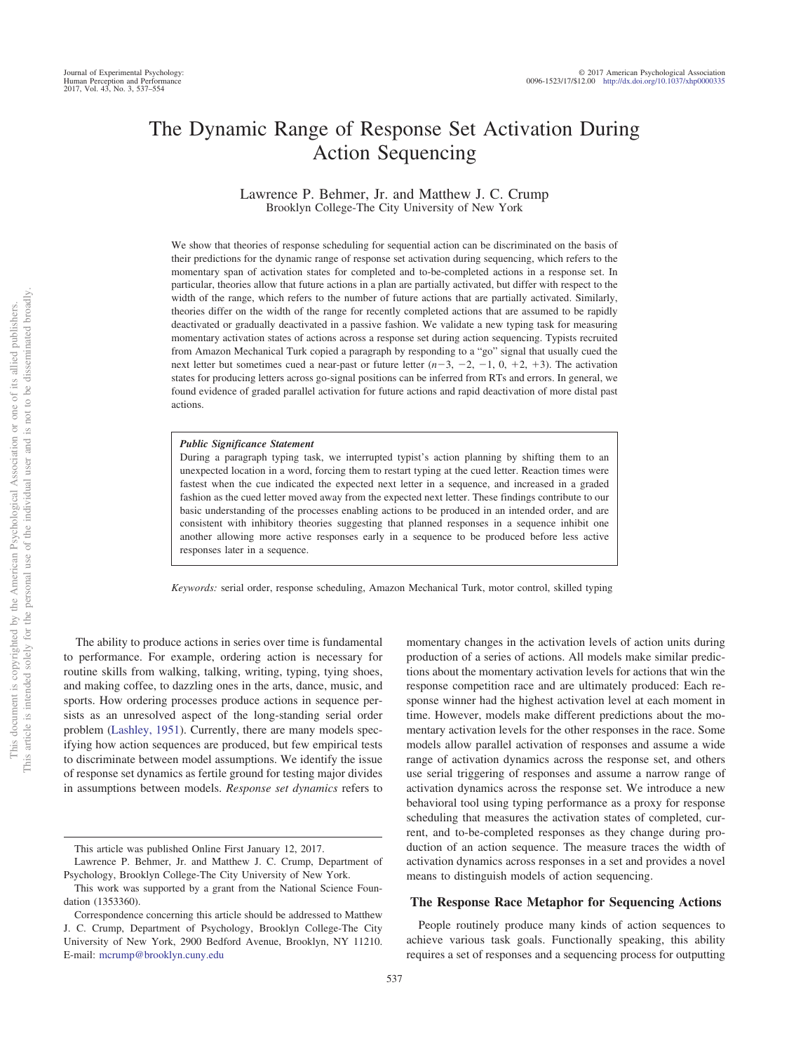# The Dynamic Range of Response Set Activation During Action Sequencing

Lawrence P. Behmer, Jr. and Matthew J. C. Crump Brooklyn College-The City University of New York

We show that theories of response scheduling for sequential action can be discriminated on the basis of their predictions for the dynamic range of response set activation during sequencing, which refers to the momentary span of activation states for completed and to-be-completed actions in a response set. In particular, theories allow that future actions in a plan are partially activated, but differ with respect to the width of the range, which refers to the number of future actions that are partially activated. Similarly, theories differ on the width of the range for recently completed actions that are assumed to be rapidly deactivated or gradually deactivated in a passive fashion. We validate a new typing task for measuring momentary activation states of actions across a response set during action sequencing. Typists recruited from Amazon Mechanical Turk copied a paragraph by responding to a "go" signal that usually cued the next letter but sometimes cued a near-past or future letter  $(n-3, -2, -1, 0, +2, +3)$ . The activation states for producing letters across go-signal positions can be inferred from RTs and errors. In general, we found evidence of graded parallel activation for future actions and rapid deactivation of more distal past actions.

#### *Public Significance Statement*

During a paragraph typing task, we interrupted typist's action planning by shifting them to an unexpected location in a word, forcing them to restart typing at the cued letter. Reaction times were fastest when the cue indicated the expected next letter in a sequence, and increased in a graded fashion as the cued letter moved away from the expected next letter. These findings contribute to our basic understanding of the processes enabling actions to be produced in an intended order, and are consistent with inhibitory theories suggesting that planned responses in a sequence inhibit one another allowing more active responses early in a sequence to be produced before less active responses later in a sequence.

*Keywords:* serial order, response scheduling, Amazon Mechanical Turk, motor control, skilled typing

The ability to produce actions in series over time is fundamental to performance. For example, ordering action is necessary for routine skills from walking, talking, writing, typing, tying shoes, and making coffee, to dazzling ones in the arts, dance, music, and sports. How ordering processes produce actions in sequence persists as an unresolved aspect of the long-standing serial order problem [\(Lashley, 1951\)](#page-17-0). Currently, there are many models specifying how action sequences are produced, but few empirical tests to discriminate between model assumptions. We identify the issue of response set dynamics as fertile ground for testing major divides in assumptions between models. *Response set dynamics* refers to

momentary changes in the activation levels of action units during production of a series of actions. All models make similar predictions about the momentary activation levels for actions that win the response competition race and are ultimately produced: Each response winner had the highest activation level at each moment in time. However, models make different predictions about the momentary activation levels for the other responses in the race. Some models allow parallel activation of responses and assume a wide range of activation dynamics across the response set, and others use serial triggering of responses and assume a narrow range of activation dynamics across the response set. We introduce a new behavioral tool using typing performance as a proxy for response scheduling that measures the activation states of completed, current, and to-be-completed responses as they change during production of an action sequence. The measure traces the width of activation dynamics across responses in a set and provides a novel means to distinguish models of action sequencing.

# **The Response Race Metaphor for Sequencing Actions**

People routinely produce many kinds of action sequences to achieve various task goals. Functionally speaking, this ability requires a set of responses and a sequencing process for outputting

This article was published Online First January 12, 2017.

Lawrence P. Behmer, Jr. and Matthew J. C. Crump, Department of Psychology, Brooklyn College-The City University of New York.

This work was supported by a grant from the National Science Foundation (1353360).

Correspondence concerning this article should be addressed to Matthew J. C. Crump, Department of Psychology, Brooklyn College-The City University of New York, 2900 Bedford Avenue, Brooklyn, NY 11210. E-mail: [mcrump@brooklyn.cuny.edu](mailto:mcrump@brooklyn.cuny.edu)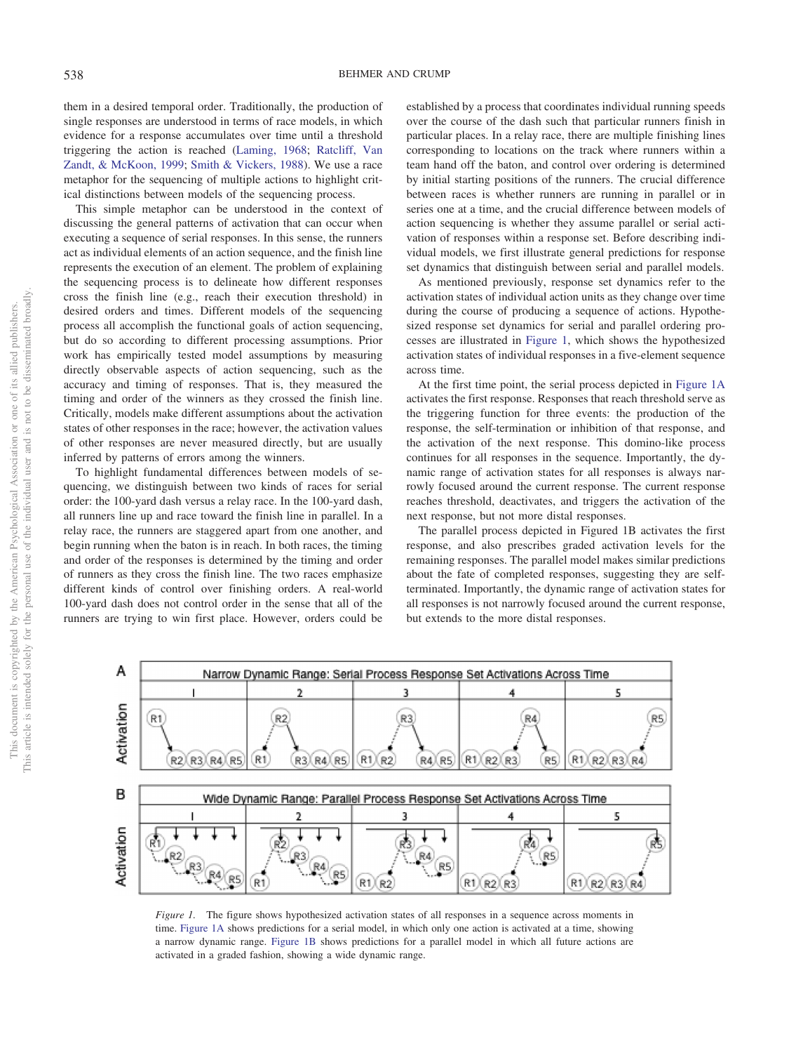them in a desired temporal order. Traditionally, the production of single responses are understood in terms of race models, in which evidence for a response accumulates over time until a threshold triggering the action is reached [\(Laming, 1968;](#page-17-1) [Ratcliff, Van](#page-17-2) [Zandt, & McKoon, 1999;](#page-17-2) [Smith & Vickers, 1988\)](#page-17-3). We use a race metaphor for the sequencing of multiple actions to highlight critical distinctions between models of the sequencing process.

This simple metaphor can be understood in the context of discussing the general patterns of activation that can occur when executing a sequence of serial responses. In this sense, the runners act as individual elements of an action sequence, and the finish line represents the execution of an element. The problem of explaining the sequencing process is to delineate how different responses cross the finish line (e.g., reach their execution threshold) in desired orders and times. Different models of the sequencing process all accomplish the functional goals of action sequencing, but do so according to different processing assumptions. Prior work has empirically tested model assumptions by measuring directly observable aspects of action sequencing, such as the accuracy and timing of responses. That is, they measured the timing and order of the winners as they crossed the finish line. Critically, models make different assumptions about the activation states of other responses in the race; however, the activation values of other responses are never measured directly, but are usually inferred by patterns of errors among the winners.

To highlight fundamental differences between models of sequencing, we distinguish between two kinds of races for serial order: the 100-yard dash versus a relay race. In the 100-yard dash, all runners line up and race toward the finish line in parallel. In a relay race, the runners are staggered apart from one another, and begin running when the baton is in reach. In both races, the timing and order of the responses is determined by the timing and order of runners as they cross the finish line. The two races emphasize different kinds of control over finishing orders. A real-world 100-yard dash does not control order in the sense that all of the runners are trying to win first place. However, orders could be established by a process that coordinates individual running speeds over the course of the dash such that particular runners finish in particular places. In a relay race, there are multiple finishing lines corresponding to locations on the track where runners within a team hand off the baton, and control over ordering is determined by initial starting positions of the runners. The crucial difference between races is whether runners are running in parallel or in series one at a time, and the crucial difference between models of action sequencing is whether they assume parallel or serial activation of responses within a response set. Before describing individual models, we first illustrate general predictions for response set dynamics that distinguish between serial and parallel models.

As mentioned previously, response set dynamics refer to the activation states of individual action units as they change over time during the course of producing a sequence of actions. Hypothesized response set dynamics for serial and parallel ordering processes are illustrated in [Figure 1,](#page-1-0) which shows the hypothesized activation states of individual responses in a five-element sequence across time.

At the first time point, the serial process depicted in [Figure 1A](#page-1-0) activates the first response. Responses that reach threshold serve as the triggering function for three events: the production of the response, the self-termination or inhibition of that response, and the activation of the next response. This domino-like process continues for all responses in the sequence. Importantly, the dynamic range of activation states for all responses is always narrowly focused around the current response. The current response reaches threshold, deactivates, and triggers the activation of the next response, but not more distal responses.

The parallel process depicted in Figured 1B activates the first response, and also prescribes graded activation levels for the remaining responses. The parallel model makes similar predictions about the fate of completed responses, suggesting they are selfterminated. Importantly, the dynamic range of activation states for all responses is not narrowly focused around the current response, but extends to the more distal responses.



<span id="page-1-0"></span>*Figure 1.* The figure shows hypothesized activation states of all responses in a sequence across moments in time. [Figure 1A](#page-1-0) shows predictions for a serial model, in which only one action is activated at a time, showing a narrow dynamic range. [Figure 1B](#page-1-0) shows predictions for a parallel model in which all future actions are activated in a graded fashion, showing a wide dynamic range.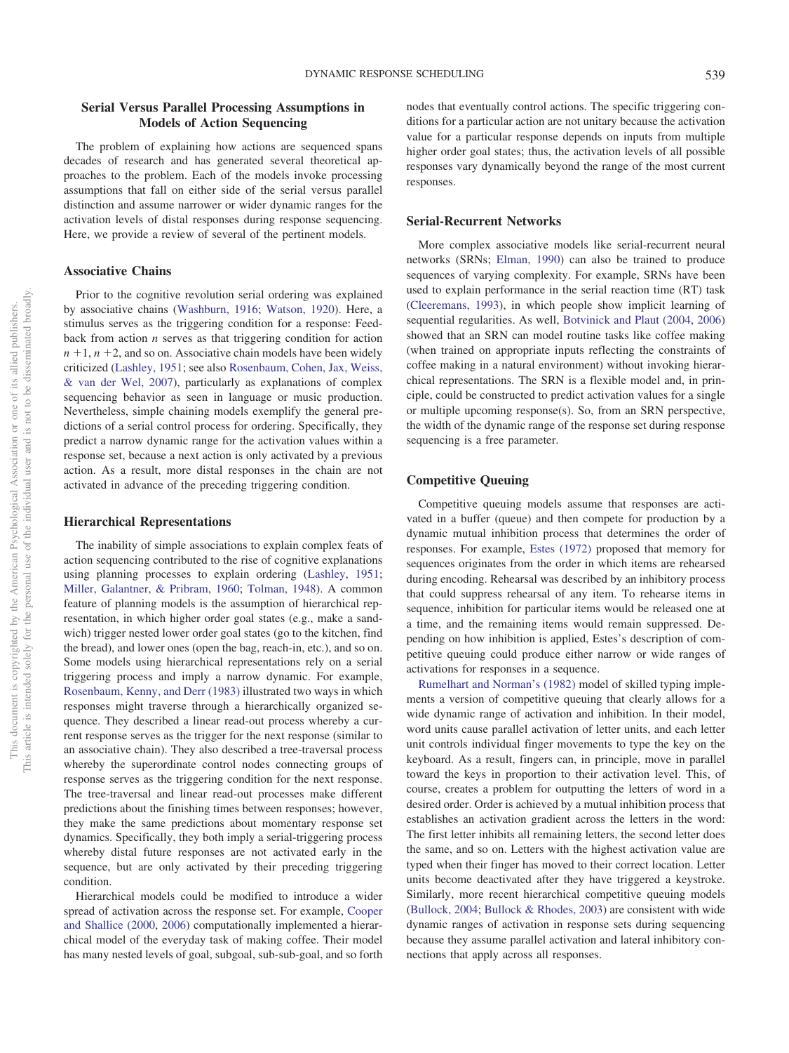# **Serial Versus Parallel Processing Assumptions in Models of Action Sequencing**

The problem of explaining how actions are sequenced spans decades of research and has generated several theoretical approaches to the problem. Each of the models invoke processing assumptions that fall on either side of the serial versus parallel distinction and assume narrower or wider dynamic ranges for the activation levels of distal responses during response sequencing. Here, we provide a review of several of the pertinent models.

## **Associative Chains**

Prior to the cognitive revolution serial ordering was explained by associative chains [\(Washburn, 1916;](#page-17-4) [Watson, 1920\)](#page-17-5). Here, a stimulus serves as the triggering condition for a response: Feedback from action *n* serves as that triggering condition for action  $n + 1$ ,  $n + 2$ , and so on. Associative chain models have been widely criticized [\(Lashley, 1951;](#page-17-0) see also [Rosenbaum, Cohen, Jax, Weiss,](#page-17-6) [& van der Wel, 2007\)](#page-17-6), particularly as explanations of complex sequencing behavior as seen in language or music production. Nevertheless, simple chaining models exemplify the general predictions of a serial control process for ordering. Specifically, they predict a narrow dynamic range for the activation values within a response set, because a next action is only activated by a previous action. As a result, more distal responses in the chain are not activated in advance of the preceding triggering condition.

#### **Hierarchical Representations**

The inability of simple associations to explain complex feats of action sequencing contributed to the rise of cognitive explanations using planning processes to explain ordering [\(Lashley, 1951;](#page-17-0) [Miller, Galantner, & Pribram, 1960;](#page-17-7) [Tolman, 1948\)](#page-17-8). A common feature of planning models is the assumption of hierarchical representation, in which higher order goal states (e.g., make a sandwich) trigger nested lower order goal states (go to the kitchen, find the bread), and lower ones (open the bag, reach-in, etc.), and so on. Some models using hierarchical representations rely on a serial triggering process and imply a narrow dynamic. For example, [Rosenbaum, Kenny, and Derr \(1983\)](#page-17-9) illustrated two ways in which responses might traverse through a hierarchically organized sequence. They described a linear read-out process whereby a current response serves as the trigger for the next response (similar to an associative chain). They also described a tree-traversal process whereby the superordinate control nodes connecting groups of response serves as the triggering condition for the next response. The tree-traversal and linear read-out processes make different predictions about the finishing times between responses; however, they make the same predictions about momentary response set dynamics. Specifically, they both imply a serial-triggering process whereby distal future responses are not activated early in the sequence, but are only activated by their preceding triggering condition.

Hierarchical models could be modified to introduce a wider spread of activation across the response set. For example, [Cooper](#page-16-0) [and Shallice \(2000,](#page-16-0) [2006\)](#page-16-1) computationally implemented a hierarchical model of the everyday task of making coffee. Their model has many nested levels of goal, subgoal, sub-sub-goal, and so forth nodes that eventually control actions. The specific triggering conditions for a particular action are not unitary because the activation value for a particular response depends on inputs from multiple higher order goal states; thus, the activation levels of all possible responses vary dynamically beyond the range of the most current responses.

## **Serial-Recurrent Networks**

More complex associative models like serial-recurrent neural networks (SRNs; [Elman, 1990\)](#page-17-10) can also be trained to produce sequences of varying complexity. For example, SRNs have been used to explain performance in the serial reaction time (RT) task [\(Cleeremans, 1993\)](#page-16-2), in which people show implicit learning of sequential regularities. As well, [Botvinick and Plaut \(2004,](#page-16-3) [2006\)](#page-16-4) showed that an SRN can model routine tasks like coffee making (when trained on appropriate inputs reflecting the constraints of coffee making in a natural environment) without invoking hierarchical representations. The SRN is a flexible model and, in principle, could be constructed to predict activation values for a single or multiple upcoming response(s). So, from an SRN perspective, the width of the dynamic range of the response set during response sequencing is a free parameter.

## **Competitive Queuing**

Competitive queuing models assume that responses are activated in a buffer (queue) and then compete for production by a dynamic mutual inhibition process that determines the order of responses. For example, [Estes \(1972\)](#page-17-11) proposed that memory for sequences originates from the order in which items are rehearsed during encoding. Rehearsal was described by an inhibitory process that could suppress rehearsal of any item. To rehearse items in sequence, inhibition for particular items would be released one at a time, and the remaining items would remain suppressed. Depending on how inhibition is applied, Estes's description of competitive queuing could produce either narrow or wide ranges of activations for responses in a sequence.

[Rumelhart and Norman's \(1982\)](#page-17-12) model of skilled typing implements a version of competitive queuing that clearly allows for a wide dynamic range of activation and inhibition. In their model, word units cause parallel activation of letter units, and each letter unit controls individual finger movements to type the key on the keyboard. As a result, fingers can, in principle, move in parallel toward the keys in proportion to their activation level. This, of course, creates a problem for outputting the letters of word in a desired order. Order is achieved by a mutual inhibition process that establishes an activation gradient across the letters in the word: The first letter inhibits all remaining letters, the second letter does the same, and so on. Letters with the highest activation value are typed when their finger has moved to their correct location. Letter units become deactivated after they have triggered a keystroke. Similarly, more recent hierarchical competitive queuing models [\(Bullock, 2004;](#page-16-5) [Bullock & Rhodes, 2003\)](#page-16-6) are consistent with wide dynamic ranges of activation in response sets during sequencing because they assume parallel activation and lateral inhibitory connections that apply across all responses.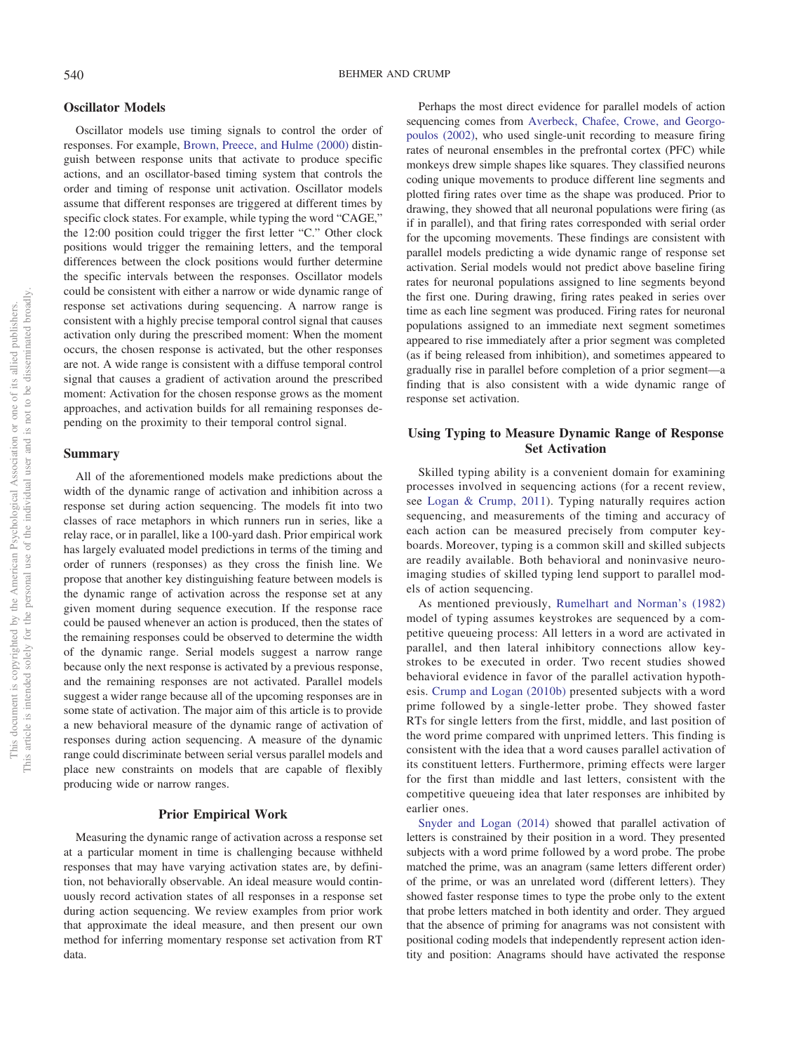## **Oscillator Models**

Oscillator models use timing signals to control the order of responses. For example, [Brown, Preece, and Hulme \(2000\)](#page-16-7) distinguish between response units that activate to produce specific actions, and an oscillator-based timing system that controls the order and timing of response unit activation. Oscillator models assume that different responses are triggered at different times by specific clock states. For example, while typing the word "CAGE," the 12:00 position could trigger the first letter "C." Other clock positions would trigger the remaining letters, and the temporal differences between the clock positions would further determine the specific intervals between the responses. Oscillator models could be consistent with either a narrow or wide dynamic range of response set activations during sequencing. A narrow range is consistent with a highly precise temporal control signal that causes activation only during the prescribed moment: When the moment occurs, the chosen response is activated, but the other responses are not. A wide range is consistent with a diffuse temporal control signal that causes a gradient of activation around the prescribed moment: Activation for the chosen response grows as the moment approaches, and activation builds for all remaining responses depending on the proximity to their temporal control signal.

## **Summary**

All of the aforementioned models make predictions about the width of the dynamic range of activation and inhibition across a response set during action sequencing. The models fit into two classes of race metaphors in which runners run in series, like a relay race, or in parallel, like a 100-yard dash. Prior empirical work has largely evaluated model predictions in terms of the timing and order of runners (responses) as they cross the finish line. We propose that another key distinguishing feature between models is the dynamic range of activation across the response set at any given moment during sequence execution. If the response race could be paused whenever an action is produced, then the states of the remaining responses could be observed to determine the width of the dynamic range. Serial models suggest a narrow range because only the next response is activated by a previous response, and the remaining responses are not activated. Parallel models suggest a wider range because all of the upcoming responses are in some state of activation. The major aim of this article is to provide a new behavioral measure of the dynamic range of activation of responses during action sequencing. A measure of the dynamic range could discriminate between serial versus parallel models and place new constraints on models that are capable of flexibly producing wide or narrow ranges.

## **Prior Empirical Work**

Measuring the dynamic range of activation across a response set at a particular moment in time is challenging because withheld responses that may have varying activation states are, by definition, not behaviorally observable. An ideal measure would continuously record activation states of all responses in a response set during action sequencing. We review examples from prior work that approximate the ideal measure, and then present our own method for inferring momentary response set activation from RT data.

Perhaps the most direct evidence for parallel models of action sequencing comes from [Averbeck, Chafee, Crowe, and Georgo](#page-16-8)[poulos \(2002\),](#page-16-8) who used single-unit recording to measure firing rates of neuronal ensembles in the prefrontal cortex (PFC) while monkeys drew simple shapes like squares. They classified neurons coding unique movements to produce different line segments and plotted firing rates over time as the shape was produced. Prior to drawing, they showed that all neuronal populations were firing (as if in parallel), and that firing rates corresponded with serial order for the upcoming movements. These findings are consistent with parallel models predicting a wide dynamic range of response set activation. Serial models would not predict above baseline firing rates for neuronal populations assigned to line segments beyond the first one. During drawing, firing rates peaked in series over time as each line segment was produced. Firing rates for neuronal populations assigned to an immediate next segment sometimes appeared to rise immediately after a prior segment was completed (as if being released from inhibition), and sometimes appeared to gradually rise in parallel before completion of a prior segment—a finding that is also consistent with a wide dynamic range of response set activation.

# **Using Typing to Measure Dynamic Range of Response Set Activation**

Skilled typing ability is a convenient domain for examining processes involved in sequencing actions (for a recent review, see [Logan & Crump, 2011\)](#page-17-13). Typing naturally requires action sequencing, and measurements of the timing and accuracy of each action can be measured precisely from computer keyboards. Moreover, typing is a common skill and skilled subjects are readily available. Both behavioral and noninvasive neuroimaging studies of skilled typing lend support to parallel models of action sequencing.

As mentioned previously, [Rumelhart and Norman's \(1982\)](#page-17-12) model of typing assumes keystrokes are sequenced by a competitive queueing process: All letters in a word are activated in parallel, and then lateral inhibitory connections allow keystrokes to be executed in order. Two recent studies showed behavioral evidence in favor of the parallel activation hypothesis. [Crump and Logan \(2010b\)](#page-17-14) presented subjects with a word prime followed by a single-letter probe. They showed faster RTs for single letters from the first, middle, and last position of the word prime compared with unprimed letters. This finding is consistent with the idea that a word causes parallel activation of its constituent letters. Furthermore, priming effects were larger for the first than middle and last letters, consistent with the competitive queueing idea that later responses are inhibited by earlier ones.

[Snyder and Logan \(2014\)](#page-17-15) showed that parallel activation of letters is constrained by their position in a word. They presented subjects with a word prime followed by a word probe. The probe matched the prime, was an anagram (same letters different order) of the prime, or was an unrelated word (different letters). They showed faster response times to type the probe only to the extent that probe letters matched in both identity and order. They argued that the absence of priming for anagrams was not consistent with positional coding models that independently represent action identity and position: Anagrams should have activated the response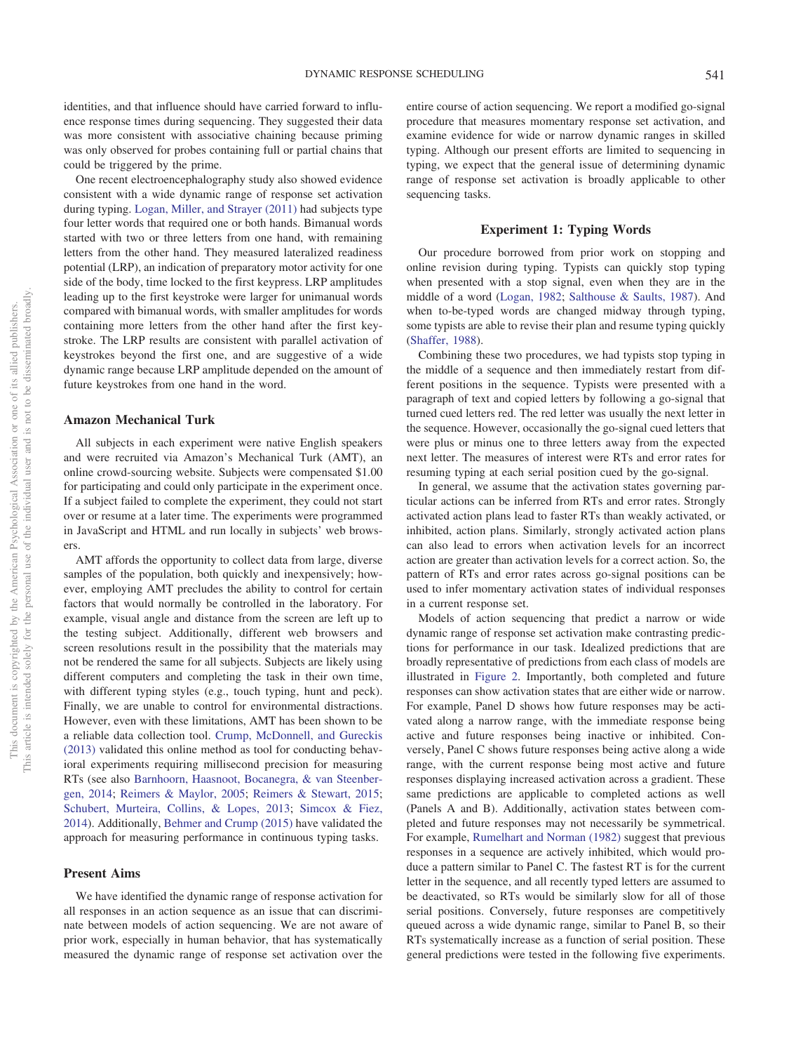identities, and that influence should have carried forward to influence response times during sequencing. They suggested their data was more consistent with associative chaining because priming was only observed for probes containing full or partial chains that could be triggered by the prime.

One recent electroencephalography study also showed evidence consistent with a wide dynamic range of response set activation during typing. [Logan, Miller, and Strayer \(2011\)](#page-17-16) had subjects type four letter words that required one or both hands. Bimanual words started with two or three letters from one hand, with remaining letters from the other hand. They measured lateralized readiness potential (LRP), an indication of preparatory motor activity for one side of the body, time locked to the first keypress. LRP amplitudes leading up to the first keystroke were larger for unimanual words compared with bimanual words, with smaller amplitudes for words containing more letters from the other hand after the first keystroke. The LRP results are consistent with parallel activation of keystrokes beyond the first one, and are suggestive of a wide dynamic range because LRP amplitude depended on the amount of future keystrokes from one hand in the word.

#### **Amazon Mechanical Turk**

All subjects in each experiment were native English speakers and were recruited via Amazon's Mechanical Turk (AMT), an online crowd-sourcing website. Subjects were compensated \$1.00 for participating and could only participate in the experiment once. If a subject failed to complete the experiment, they could not start over or resume at a later time. The experiments were programmed in JavaScript and HTML and run locally in subjects' web browsers.

AMT affords the opportunity to collect data from large, diverse samples of the population, both quickly and inexpensively; however, employing AMT precludes the ability to control for certain factors that would normally be controlled in the laboratory. For example, visual angle and distance from the screen are left up to the testing subject. Additionally, different web browsers and screen resolutions result in the possibility that the materials may not be rendered the same for all subjects. Subjects are likely using different computers and completing the task in their own time, with different typing styles (e.g., touch typing, hunt and peck). Finally, we are unable to control for environmental distractions. However, even with these limitations, AMT has been shown to be a reliable data collection tool. [Crump, McDonnell, and Gureckis](#page-17-17) [\(2013\)](#page-17-17) validated this online method as tool for conducting behavioral experiments requiring millisecond precision for measuring RTs (see also [Barnhoorn, Haasnoot, Bocanegra, & van Steenber](#page-16-9)[gen, 2014;](#page-16-9) [Reimers & Maylor, 2005;](#page-17-18) [Reimers & Stewart, 2015;](#page-17-19) [Schubert, Murteira, Collins, & Lopes, 2013;](#page-17-20) [Simcox & Fiez,](#page-17-21) [2014\)](#page-17-21). Additionally, [Behmer and Crump \(2015\)](#page-16-10) have validated the approach for measuring performance in continuous typing tasks.

#### **Present Aims**

We have identified the dynamic range of response activation for all responses in an action sequence as an issue that can discriminate between models of action sequencing. We are not aware of prior work, especially in human behavior, that has systematically measured the dynamic range of response set activation over the

entire course of action sequencing. We report a modified go-signal procedure that measures momentary response set activation, and examine evidence for wide or narrow dynamic ranges in skilled typing. Although our present efforts are limited to sequencing in typing, we expect that the general issue of determining dynamic range of response set activation is broadly applicable to other sequencing tasks.

## **Experiment 1: Typing Words**

Our procedure borrowed from prior work on stopping and online revision during typing. Typists can quickly stop typing when presented with a stop signal, even when they are in the middle of a word [\(Logan, 1982;](#page-17-22) [Salthouse & Saults, 1987\)](#page-17-23). And when to-be-typed words are changed midway through typing, some typists are able to revise their plan and resume typing quickly [\(Shaffer, 1988\)](#page-17-24).

Combining these two procedures, we had typists stop typing in the middle of a sequence and then immediately restart from different positions in the sequence. Typists were presented with a paragraph of text and copied letters by following a go-signal that turned cued letters red. The red letter was usually the next letter in the sequence. However, occasionally the go-signal cued letters that were plus or minus one to three letters away from the expected next letter. The measures of interest were RTs and error rates for resuming typing at each serial position cued by the go-signal.

In general, we assume that the activation states governing particular actions can be inferred from RTs and error rates. Strongly activated action plans lead to faster RTs than weakly activated, or inhibited, action plans. Similarly, strongly activated action plans can also lead to errors when activation levels for an incorrect action are greater than activation levels for a correct action. So, the pattern of RTs and error rates across go-signal positions can be used to infer momentary activation states of individual responses in a current response set.

Models of action sequencing that predict a narrow or wide dynamic range of response set activation make contrasting predictions for performance in our task. Idealized predictions that are broadly representative of predictions from each class of models are illustrated in [Figure 2.](#page-5-0) Importantly, both completed and future responses can show activation states that are either wide or narrow. For example, Panel D shows how future responses may be activated along a narrow range, with the immediate response being active and future responses being inactive or inhibited. Conversely, Panel C shows future responses being active along a wide range, with the current response being most active and future responses displaying increased activation across a gradient. These same predictions are applicable to completed actions as well (Panels A and B). Additionally, activation states between completed and future responses may not necessarily be symmetrical. For example, [Rumelhart and Norman \(1982\)](#page-17-12) suggest that previous responses in a sequence are actively inhibited, which would produce a pattern similar to Panel C. The fastest RT is for the current letter in the sequence, and all recently typed letters are assumed to be deactivated, so RTs would be similarly slow for all of those serial positions. Conversely, future responses are competitively queued across a wide dynamic range, similar to Panel B, so their RTs systematically increase as a function of serial position. These general predictions were tested in the following five experiments.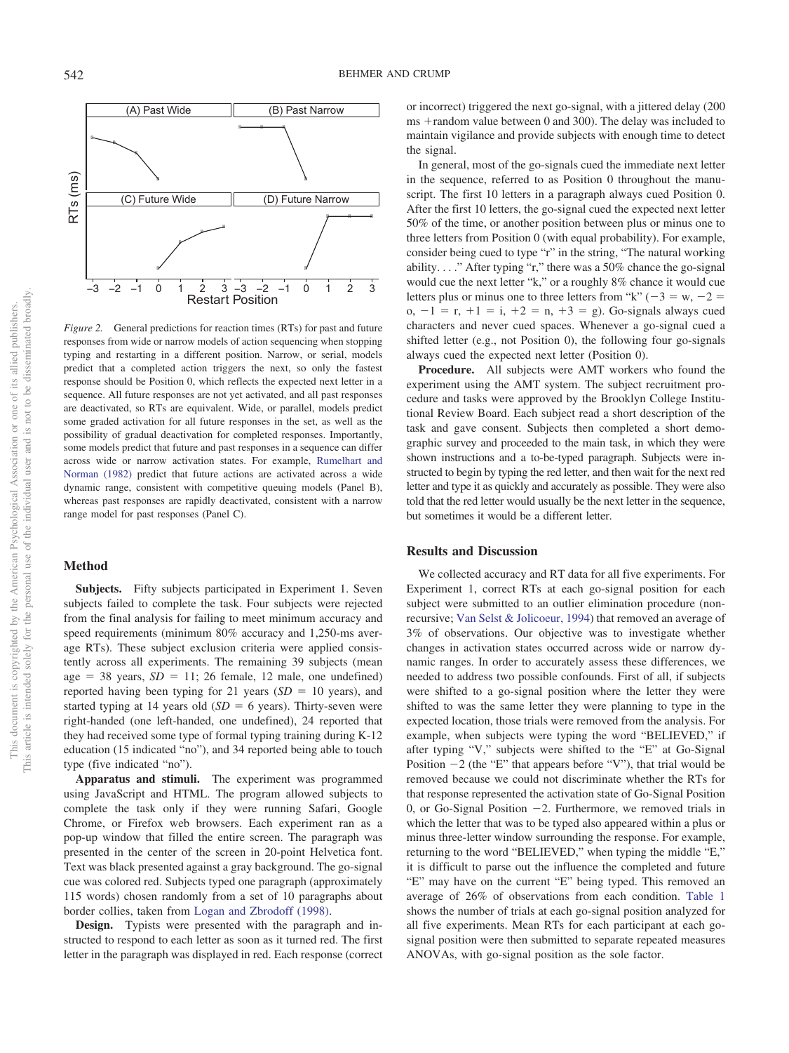

<span id="page-5-0"></span>*Figure 2.* General predictions for reaction times (RTs) for past and future responses from wide or narrow models of action sequencing when stopping typing and restarting in a different position. Narrow, or serial, models predict that a completed action triggers the next, so only the fastest response should be Position 0, which reflects the expected next letter in a sequence. All future responses are not yet activated, and all past responses are deactivated, so RTs are equivalent. Wide, or parallel, models predict some graded activation for all future responses in the set, as well as the possibility of gradual deactivation for completed responses. Importantly, some models predict that future and past responses in a sequence can differ across wide or narrow activation states. For example, [Rumelhart and](#page-17-12) [Norman \(1982\)](#page-17-12) predict that future actions are activated across a wide dynamic range, consistent with competitive queuing models (Panel B), whereas past responses are rapidly deactivated, consistent with a narrow range model for past responses (Panel C).

## **Method**

**Subjects.** Fifty subjects participated in Experiment 1. Seven subjects failed to complete the task. Four subjects were rejected from the final analysis for failing to meet minimum accuracy and speed requirements (minimum 80% accuracy and 1,250-ms average RTs). These subject exclusion criteria were applied consistently across all experiments. The remaining 39 subjects (mean age  $= 38$  years,  $SD = 11$ ; 26 female, 12 male, one undefined) reported having been typing for 21 years  $(SD = 10$  years), and started typing at 14 years old  $(SD = 6$  years). Thirty-seven were right-handed (one left-handed, one undefined), 24 reported that they had received some type of formal typing training during K-12 education (15 indicated "no"), and 34 reported being able to touch type (five indicated "no").

**Apparatus and stimuli.** The experiment was programmed using JavaScript and HTML. The program allowed subjects to complete the task only if they were running Safari, Google Chrome, or Firefox web browsers. Each experiment ran as a pop-up window that filled the entire screen. The paragraph was presented in the center of the screen in 20-point Helvetica font. Text was black presented against a gray background. The go-signal cue was colored red. Subjects typed one paragraph (approximately 115 words) chosen randomly from a set of 10 paragraphs about border collies, taken from [Logan and Zbrodoff \(1998\).](#page-17-25)

**Design.** Typists were presented with the paragraph and instructed to respond to each letter as soon as it turned red. The first letter in the paragraph was displayed in red. Each response (correct or incorrect) triggered the next go-signal, with a jittered delay (200  $ms + random$  value between 0 and 300). The delay was included to maintain vigilance and provide subjects with enough time to detect the signal.

In general, most of the go-signals cued the immediate next letter in the sequence, referred to as Position 0 throughout the manuscript. The first 10 letters in a paragraph always cued Position 0. After the first 10 letters, the go-signal cued the expected next letter 50% of the time, or another position between plus or minus one to three letters from Position 0 (with equal probability). For example, consider being cued to type "r" in the string, "The natural wo**r**king ability. . . ." After typing "r," there was a 50% chance the go-signal would cue the next letter "k," or a roughly 8% chance it would cue letters plus or minus one to three letters from "k" ( $-3 = w, -2 =$  $o, -1 = r, +1 = i, +2 = n, +3 = g$ . Go-signals always cued characters and never cued spaces. Whenever a go-signal cued a shifted letter (e.g., not Position 0), the following four go-signals always cued the expected next letter (Position 0).

**Procedure.** All subjects were AMT workers who found the experiment using the AMT system. The subject recruitment procedure and tasks were approved by the Brooklyn College Institutional Review Board. Each subject read a short description of the task and gave consent. Subjects then completed a short demographic survey and proceeded to the main task, in which they were shown instructions and a to-be-typed paragraph. Subjects were instructed to begin by typing the red letter, and then wait for the next red letter and type it as quickly and accurately as possible. They were also told that the red letter would usually be the next letter in the sequence, but sometimes it would be a different letter.

## **Results and Discussion**

We collected accuracy and RT data for all five experiments. For Experiment 1, correct RTs at each go-signal position for each subject were submitted to an outlier elimination procedure (nonrecursive; [Van Selst & Jolicoeur, 1994\)](#page-17-26) that removed an average of 3% of observations. Our objective was to investigate whether changes in activation states occurred across wide or narrow dynamic ranges. In order to accurately assess these differences, we needed to address two possible confounds. First of all, if subjects were shifted to a go-signal position where the letter they were shifted to was the same letter they were planning to type in the expected location, those trials were removed from the analysis. For example, when subjects were typing the word "BELIEVED," if after typing "V," subjects were shifted to the "E" at Go-Signal Position  $-2$  (the "E" that appears before "V"), that trial would be removed because we could not discriminate whether the RTs for that response represented the activation state of Go-Signal Position 0, or Go-Signal Position -2. Furthermore, we removed trials in which the letter that was to be typed also appeared within a plus or minus three-letter window surrounding the response. For example, returning to the word "BELIEVED," when typing the middle "E," it is difficult to parse out the influence the completed and future "E" may have on the current "E" being typed. This removed an average of 26% of observations from each condition. [Table 1](#page-6-0) shows the number of trials at each go-signal position analyzed for all five experiments. Mean RTs for each participant at each gosignal position were then submitted to separate repeated measures ANOVAs, with go-signal position as the sole factor.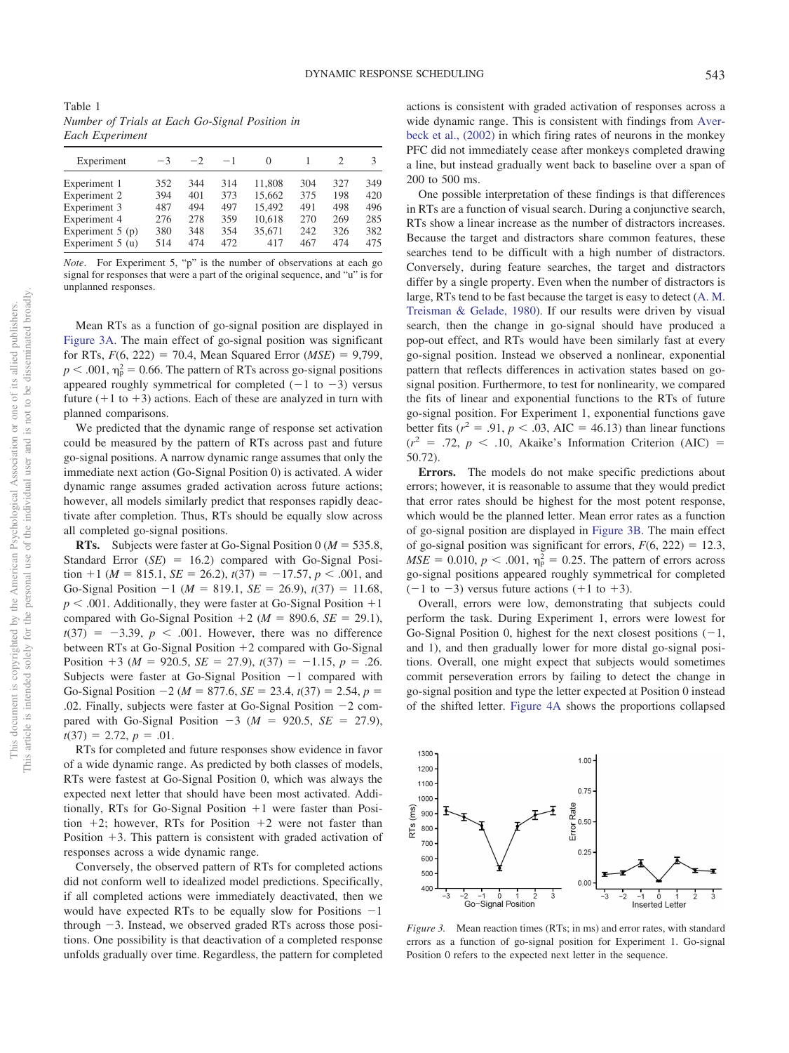<span id="page-6-0"></span>Table 1 *Number of Trials at Each Go-Signal Position in Each Experiment*

| Experiment         | $-3$ | $-2$ | $-1$ | $\Omega$ |     |     | 3   |
|--------------------|------|------|------|----------|-----|-----|-----|
| Experiment 1       | 352  | 344  | 314  | 11.808   | 304 | 327 | 349 |
| Experiment 2       | 394  | 401  | 373  | 15.662   | 375 | 198 | 420 |
| Experiment 3       | 487  | 494  | 497  | 15.492   | 491 | 498 | 496 |
| Experiment 4       | 276  | 278  | 359  | 10,618   | 270 | 269 | 285 |
| Experiment $5$ (p) | 380  | 348  | 354  | 35.671   | 242 | 326 | 382 |
| Experiment $5(u)$  | 514  | 474  | 472  | 417      | 467 | 474 | 475 |

*Note*. For Experiment 5, "p" is the number of observations at each go signal for responses that were a part of the original sequence, and "u" is for unplanned responses.

Mean RTs as a function of go-signal position are displayed in [Figure 3A.](#page-6-1) The main effect of go-signal position was significant for RTs,  $F(6, 222) = 70.4$ , Mean Squared Error (*MSE*) = 9,799,  $p < .001$ ,  $\eta_p^2 = 0.66$ . The pattern of RTs across go-signal positions appeared roughly symmetrical for completed  $(-1$  to  $-3)$  versus future  $(+1 \text{ to } +3)$  actions. Each of these are analyzed in turn with planned comparisons.

We predicted that the dynamic range of response set activation could be measured by the pattern of RTs across past and future go-signal positions. A narrow dynamic range assumes that only the immediate next action (Go-Signal Position 0) is activated. A wider dynamic range assumes graded activation across future actions; however, all models similarly predict that responses rapidly deactivate after completion. Thus, RTs should be equally slow across all completed go-signal positions.

**RTs.** Subjects were faster at Go-Signal Position  $0 (M = 535.8,$ Standard Error (*SE*) = 16.2) compared with Go-Signal Position  $+1$  (*M* = 815.1, *SE* = 26.2),  $t(37) = -17.57$ ,  $p < .001$ , and Go-Signal Position  $-1$  ( $M = 819.1$ ,  $SE = 26.9$ ),  $t(37) = 11.68$ ,  $p < .001$ . Additionally, they were faster at Go-Signal Position  $+1$ compared with Go-Signal Position  $+2$  ( $M = 890.6$ ,  $SE = 29.1$ ),  $t(37) = -3.39, p < .001$ . However, there was no difference between RTs at Go-Signal Position  $+2$  compared with Go-Signal Position  $+3$  ( $M = 920.5$ ,  $SE = 27.9$ ),  $t(37) = -1.15$ ,  $p = .26$ . Subjects were faster at Go-Signal Position  $-1$  compared with Go-Signal Position  $-2$  ( $M = 877.6$ ,  $SE = 23.4$ ,  $t(37) = 2.54$ ,  $p =$ .02. Finally, subjects were faster at Go-Signal Position -2 compared with Go-Signal Position  $-3$  ( $M = 920.5$ ,  $SE = 27.9$ ),  $t(37) = 2.72, p = .01.$ 

RTs for completed and future responses show evidence in favor of a wide dynamic range. As predicted by both classes of models, RTs were fastest at Go-Signal Position 0, which was always the expected next letter that should have been most activated. Additionally, RTs for Go-Signal Position  $+1$  were faster than Position  $+2$ ; however, RTs for Position  $+2$  were not faster than Position  $+3$ . This pattern is consistent with graded activation of responses across a wide dynamic range.

Conversely, the observed pattern of RTs for completed actions did not conform well to idealized model predictions. Specifically, if all completed actions were immediately deactivated, then we would have expected RTs to be equally slow for Positions  $-1$ through -3. Instead, we observed graded RTs across those positions. One possibility is that deactivation of a completed response unfolds gradually over time. Regardless, the pattern for completed actions is consistent with graded activation of responses across a wide dynamic range. This is consistent with findings from [Aver](#page-16-8)[beck et al., \(2002\)](#page-16-8) in which firing rates of neurons in the monkey PFC did not immediately cease after monkeys completed drawing a line, but instead gradually went back to baseline over a span of 200 to 500 ms.

One possible interpretation of these findings is that differences in RTs are a function of visual search. During a conjunctive search, RTs show a linear increase as the number of distractors increases. Because the target and distractors share common features, these searches tend to be difficult with a high number of distractors. Conversely, during feature searches, the target and distractors differ by a single property. Even when the number of distractors is large, RTs tend to be fast because the target is easy to detect [\(A. M.](#page-17-27) [Treisman & Gelade, 1980\)](#page-17-27). If our results were driven by visual search, then the change in go-signal should have produced a pop-out effect, and RTs would have been similarly fast at every go-signal position. Instead we observed a nonlinear, exponential pattern that reflects differences in activation states based on gosignal position. Furthermore, to test for nonlinearity, we compared the fits of linear and exponential functions to the RTs of future go-signal position. For Experiment 1, exponential functions gave better fits  $(r^2 = .91, p < .03, \text{ AIC} = 46.13)$  than linear functions  $(r^2 = .72, p < .10,$  Akaike's Information Criterion (AIC) = 50.72).

**Errors.** The models do not make specific predictions about errors; however, it is reasonable to assume that they would predict that error rates should be highest for the most potent response, which would be the planned letter. Mean error rates as a function of go-signal position are displayed in [Figure 3B.](#page-6-1) The main effect of go-signal position was significant for errors,  $F(6, 222) = 12.3$ ,  $MSE = 0.010$ ,  $p < .001$ ,  $\eta_p^2 = 0.25$ . The pattern of errors across go-signal positions appeared roughly symmetrical for completed  $(-1$  to  $-3)$  versus future actions  $(+1$  to  $+3)$ .

Overall, errors were low, demonstrating that subjects could perform the task. During Experiment 1, errors were lowest for Go-Signal Position 0, highest for the next closest positions  $(-1,$ and 1), and then gradually lower for more distal go-signal positions. Overall, one might expect that subjects would sometimes commit perseveration errors by failing to detect the change in go-signal position and type the letter expected at Position 0 instead of the shifted letter. [Figure 4A](#page-7-0) shows the proportions collapsed



<span id="page-6-1"></span>*Figure 3.* Mean reaction times (RTs; in ms) and error rates, with standard errors as a function of go-signal position for Experiment 1. Go-signal Position 0 refers to the expected next letter in the sequence.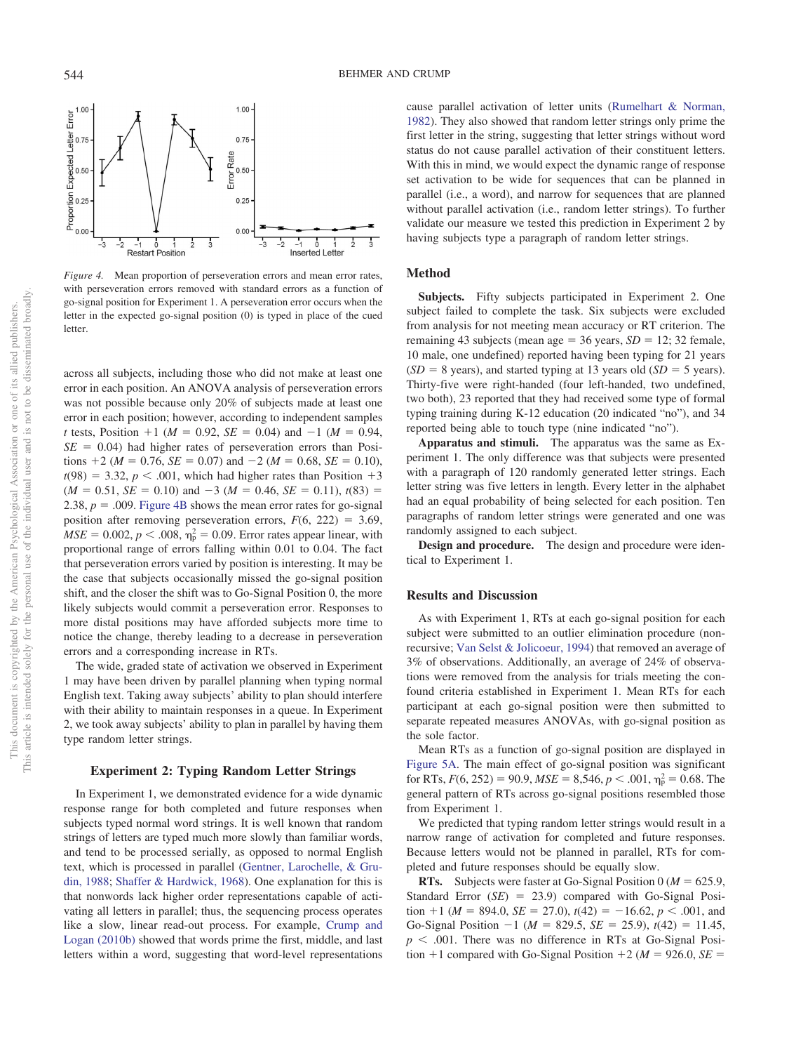

<span id="page-7-0"></span>*Figure 4.* Mean proportion of perseveration errors and mean error rates, with perseveration errors removed with standard errors as a function of go-signal position for Experiment 1. A perseveration error occurs when the letter in the expected go-signal position (0) is typed in place of the cued letter.

across all subjects, including those who did not make at least one error in each position. An ANOVA analysis of perseveration errors was not possible because only 20% of subjects made at least one error in each position; however, according to independent samples *t* tests, Position  $+1$  ( $M = 0.92$ ,  $SE = 0.04$ ) and  $-1$  ( $M = 0.94$ ,  $SE = 0.04$ ) had higher rates of perseveration errors than Positions  $+2$  (*M* = 0.76, *SE* = 0.07) and  $-2$  (*M* = 0.68, *SE* = 0.10),  $t(98) = 3.32, p < .001$ , which had higher rates than Position  $+3$  $(M = 0.51, SE = 0.10)$  and  $-3 (M = 0.46, SE = 0.11)$ ,  $t(83) =$ 2.38,  $p = .009$ . [Figure 4B](#page-7-0) shows the mean error rates for go-signal position after removing perseveration errors,  $F(6, 222) = 3.69$ ,  $MSE = 0.002$ ,  $p < .008$ ,  $\eta_p^2 = 0.09$ . Error rates appear linear, with proportional range of errors falling within 0.01 to 0.04. The fact that perseveration errors varied by position is interesting. It may be the case that subjects occasionally missed the go-signal position shift, and the closer the shift was to Go-Signal Position 0, the more likely subjects would commit a perseveration error. Responses to more distal positions may have afforded subjects more time to notice the change, thereby leading to a decrease in perseveration errors and a corresponding increase in RTs.

The wide, graded state of activation we observed in Experiment 1 may have been driven by parallel planning when typing normal English text. Taking away subjects' ability to plan should interfere with their ability to maintain responses in a queue. In Experiment 2, we took away subjects' ability to plan in parallel by having them type random letter strings.

## **Experiment 2: Typing Random Letter Strings**

In Experiment 1, we demonstrated evidence for a wide dynamic response range for both completed and future responses when subjects typed normal word strings. It is well known that random strings of letters are typed much more slowly than familiar words, and tend to be processed serially, as opposed to normal English text, which is processed in parallel [\(Gentner, Larochelle, & Gru](#page-17-28)[din, 1988;](#page-17-28) [Shaffer & Hardwick, 1968\)](#page-17-29). One explanation for this is that nonwords lack higher order representations capable of activating all letters in parallel; thus, the sequencing process operates like a slow, linear read-out process. For example, [Crump and](#page-17-14) [Logan \(2010b\)](#page-17-14) showed that words prime the first, middle, and last letters within a word, suggesting that word-level representations cause parallel activation of letter units [\(Rumelhart & Norman,](#page-17-12) [1982\)](#page-17-12). They also showed that random letter strings only prime the first letter in the string, suggesting that letter strings without word status do not cause parallel activation of their constituent letters. With this in mind, we would expect the dynamic range of response set activation to be wide for sequences that can be planned in parallel (i.e., a word), and narrow for sequences that are planned without parallel activation (i.e., random letter strings). To further validate our measure we tested this prediction in Experiment 2 by having subjects type a paragraph of random letter strings.

## **Method**

**Subjects.** Fifty subjects participated in Experiment 2. One subject failed to complete the task. Six subjects were excluded from analysis for not meeting mean accuracy or RT criterion. The remaining 43 subjects (mean age  $=$  36 years, *SD*  $=$  12; 32 female, 10 male, one undefined) reported having been typing for 21 years  $(SD = 8 \text{ years})$ , and started typing at 13 years old  $(SD = 5 \text{ years})$ . Thirty-five were right-handed (four left-handed, two undefined, two both), 23 reported that they had received some type of formal typing training during K-12 education (20 indicated "no"), and 34 reported being able to touch type (nine indicated "no").

**Apparatus and stimuli.** The apparatus was the same as Experiment 1. The only difference was that subjects were presented with a paragraph of 120 randomly generated letter strings. Each letter string was five letters in length. Every letter in the alphabet had an equal probability of being selected for each position. Ten paragraphs of random letter strings were generated and one was randomly assigned to each subject.

**Design and procedure.** The design and procedure were identical to Experiment 1.

#### **Results and Discussion**

As with Experiment 1, RTs at each go-signal position for each subject were submitted to an outlier elimination procedure (nonrecursive; [Van Selst & Jolicoeur, 1994\)](#page-17-26) that removed an average of 3% of observations. Additionally, an average of 24% of observations were removed from the analysis for trials meeting the confound criteria established in Experiment 1. Mean RTs for each participant at each go-signal position were then submitted to separate repeated measures ANOVAs, with go-signal position as the sole factor.

Mean RTs as a function of go-signal position are displayed in [Figure 5A.](#page-8-0) The main effect of go-signal position was significant for RTs,  $F(6, 252) = 90.9$ ,  $MSE = 8,546$ ,  $p < .001$ ,  $\eta_p^2 = 0.68$ . The general pattern of RTs across go-signal positions resembled those from Experiment 1.

We predicted that typing random letter strings would result in a narrow range of activation for completed and future responses. Because letters would not be planned in parallel, RTs for completed and future responses should be equally slow.

**RTs.** Subjects were faster at Go-Signal Position  $0 (M = 625.9,$ Standard Error (*SE*) = 23.9) compared with Go-Signal Position  $+1$  (*M* = 894.0, *SE* = 27.0),  $t(42) = -16.62$ ,  $p < .001$ , and Go-Signal Position  $-1$  ( $M = 829.5$ ,  $SE = 25.9$ ),  $t(42) = 11.45$ ,  $p < .001$ . There was no difference in RTs at Go-Signal Position  $+1$  compared with Go-Signal Position  $+2$  (*M* = 926.0, *SE* =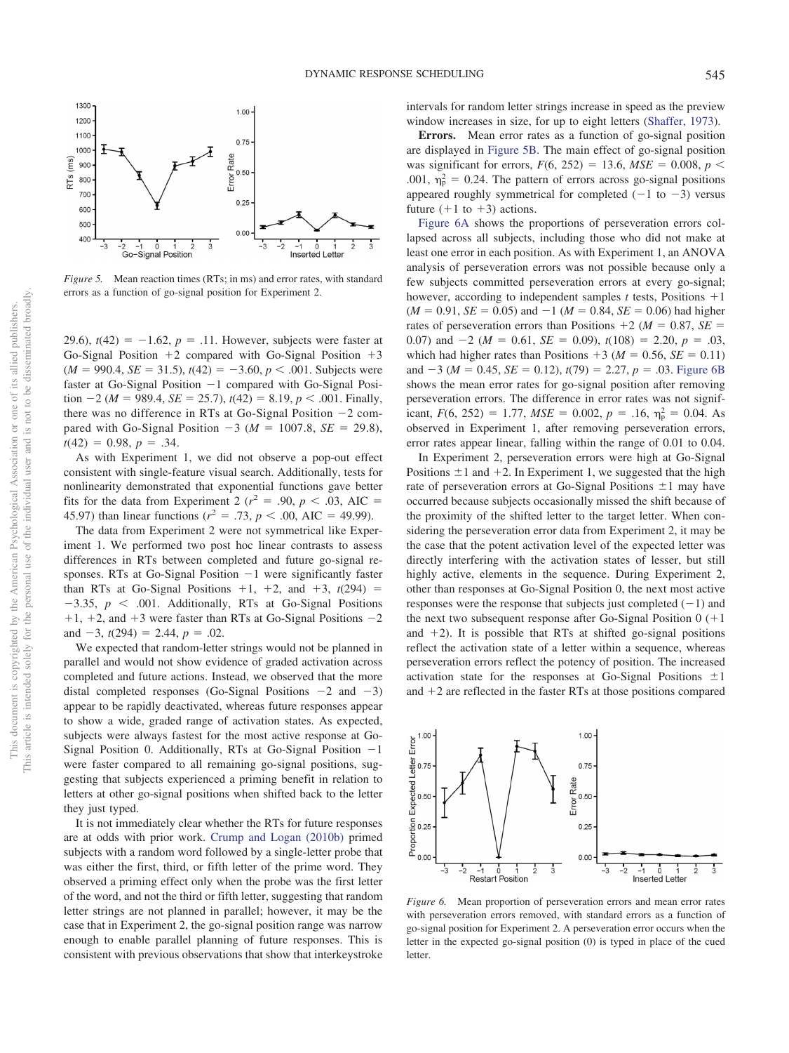

<span id="page-8-0"></span>*Figure 5.* Mean reaction times (RTs; in ms) and error rates, with standard errors as a function of go-signal position for Experiment 2.

29.6),  $t(42) = -1.62$ ,  $p = .11$ . However, subjects were faster at Go-Signal Position  $+2$  compared with Go-Signal Position  $+3$  $(M = 990.4, SE = 31.5), t(42) = -3.60, p < .001$ . Subjects were faster at Go-Signal Position -1 compared with Go-Signal Posi- $\text{tion } -2 \ (M = 989.4, \, SE = 25.7), \, t(42) = 8.19, \, p < .001. \text{ Finally},$ there was no difference in RTs at Go-Signal Position -2 compared with Go-Signal Position  $-3$  ( $M = 1007.8$ ,  $SE = 29.8$ ),  $t(42) = 0.98, p = .34.$ 

As with Experiment 1, we did not observe a pop-out effect consistent with single-feature visual search. Additionally, tests for nonlinearity demonstrated that exponential functions gave better fits for the data from Experiment 2 ( $r^2$  = .90,  $p$  < .03, AIC = 45.97) than linear functions ( $r^2 = .73$ ,  $p < .00$ , AIC = 49.99).

The data from Experiment 2 were not symmetrical like Experiment 1. We performed two post hoc linear contrasts to assess differences in RTs between completed and future go-signal responses. RTs at Go-Signal Position -1 were significantly faster than RTs at Go-Signal Positions  $+1$ ,  $+2$ , and  $+3$ ,  $t(294)$  =  $-3.35$ ,  $p < .001$ . Additionally, RTs at Go-Signal Positions  $+1$ ,  $+2$ , and  $+3$  were faster than RTs at Go-Signal Positions  $-2$ and  $-3$ ,  $t(294) = 2.44$ ,  $p = .02$ .

We expected that random-letter strings would not be planned in parallel and would not show evidence of graded activation across completed and future actions. Instead, we observed that the more distal completed responses (Go-Signal Positions  $-2$  and  $-3$ ) appear to be rapidly deactivated, whereas future responses appear to show a wide, graded range of activation states. As expected, subjects were always fastest for the most active response at Go-Signal Position 0. Additionally, RTs at Go-Signal Position -1 were faster compared to all remaining go-signal positions, suggesting that subjects experienced a priming benefit in relation to letters at other go-signal positions when shifted back to the letter they just typed.

It is not immediately clear whether the RTs for future responses are at odds with prior work. [Crump and Logan \(2010b\)](#page-17-14) primed subjects with a random word followed by a single-letter probe that was either the first, third, or fifth letter of the prime word. They observed a priming effect only when the probe was the first letter of the word, and not the third or fifth letter, suggesting that random letter strings are not planned in parallel; however, it may be the case that in Experiment 2, the go-signal position range was narrow enough to enable parallel planning of future responses. This is consistent with previous observations that show that interkeystroke intervals for random letter strings increase in speed as the preview window increases in size, for up to eight letters [\(Shaffer, 1973\)](#page-17-30).

**Errors.** Mean error rates as a function of go-signal position are displayed in [Figure 5B.](#page-8-0) The main effect of go-signal position was significant for errors,  $F(6, 252) = 13.6$ ,  $MSE = 0.008$ ,  $p <$ .001,  $\eta_{\rm p}^2 = 0.24$ . The pattern of errors across go-signal positions appeared roughly symmetrical for completed  $(-1$  to  $-3)$  versus future  $(+1 \text{ to } +3)$  actions.

[Figure 6A](#page-8-1) shows the proportions of perseveration errors collapsed across all subjects, including those who did not make at least one error in each position. As with Experiment 1, an ANOVA analysis of perseveration errors was not possible because only a few subjects committed perseveration errors at every go-signal; however, according to independent samples  $t$  tests, Positions  $+1$  $(M = 0.91, SE = 0.05)$  and  $-1 (M = 0.84, SE = 0.06)$  had higher rates of perseveration errors than Positions  $+2$  ( $M = 0.87$ ,  $SE =$ 0.07) and  $-2$  ( $M = 0.61$ ,  $SE = 0.09$ ),  $t(108) = 2.20$ ,  $p = .03$ , which had higher rates than Positions  $+3$  ( $M = 0.56$ ,  $SE = 0.11$ ) and  $-3$  ( $M = 0.45$ ,  $SE = 0.12$ ),  $t(79) = 2.27$ ,  $p = .03$ . [Figure 6B](#page-8-1) shows the mean error rates for go-signal position after removing perseveration errors. The difference in error rates was not significant,  $F(6, 252) = 1.77$ ,  $MSE = 0.002$ ,  $p = .16$ ,  $\eta_p^2 = 0.04$ . As observed in Experiment 1, after removing perseveration errors, error rates appear linear, falling within the range of 0.01 to 0.04.

In Experiment 2, perseveration errors were high at Go-Signal Positions  $\pm 1$  and  $+2$ . In Experiment 1, we suggested that the high rate of perseveration errors at Go-Signal Positions  $\pm 1$  may have occurred because subjects occasionally missed the shift because of the proximity of the shifted letter to the target letter. When considering the perseveration error data from Experiment 2, it may be the case that the potent activation level of the expected letter was directly interfering with the activation states of lesser, but still highly active, elements in the sequence. During Experiment 2, other than responses at Go-Signal Position 0, the next most active responses were the response that subjects just completed  $(-1)$  and the next two subsequent response after Go-Signal Position  $0 (+1)$ and  $+2$ ). It is possible that RTs at shifted go-signal positions reflect the activation state of a letter within a sequence, whereas perseveration errors reflect the potency of position. The increased activation state for the responses at Go-Signal Positions  $\pm 1$ and  $+2$  are reflected in the faster RTs at those positions compared



<span id="page-8-1"></span>*Figure 6.* Mean proportion of perseveration errors and mean error rates with perseveration errors removed, with standard errors as a function of go-signal position for Experiment 2. A perseveration error occurs when the letter in the expected go-signal position (0) is typed in place of the cued **letter**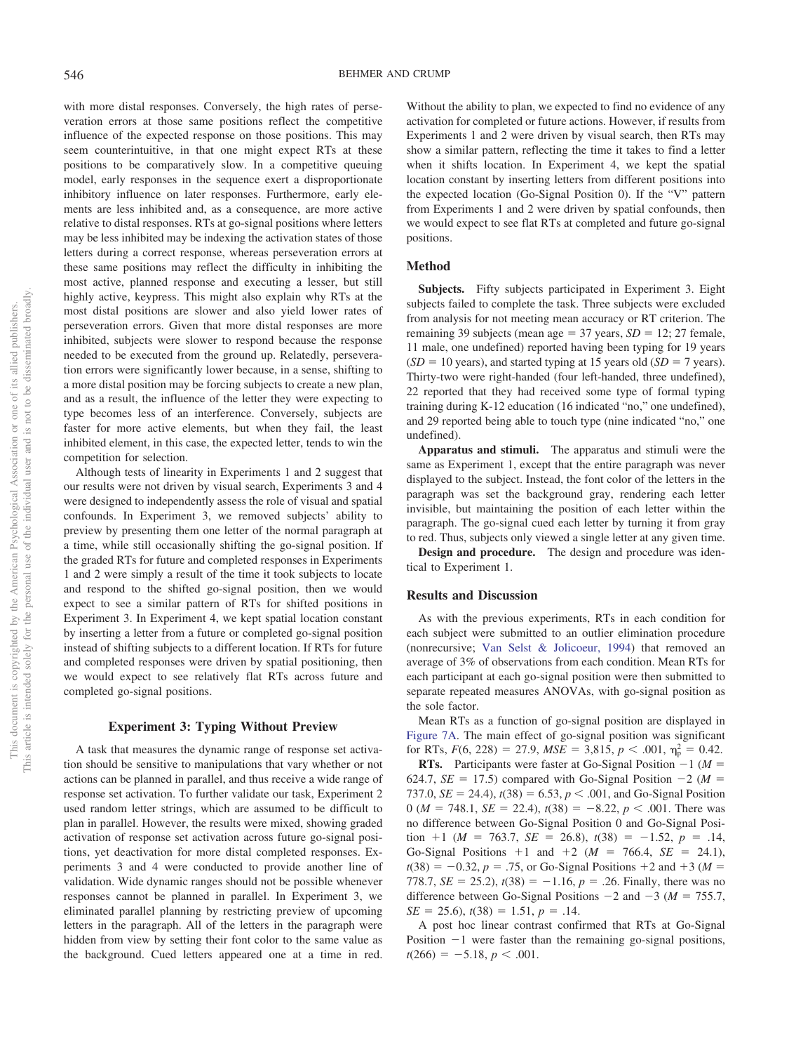with more distal responses. Conversely, the high rates of perseveration errors at those same positions reflect the competitive influence of the expected response on those positions. This may seem counterintuitive, in that one might expect RTs at these positions to be comparatively slow. In a competitive queuing model, early responses in the sequence exert a disproportionate inhibitory influence on later responses. Furthermore, early elements are less inhibited and, as a consequence, are more active relative to distal responses. RTs at go-signal positions where letters may be less inhibited may be indexing the activation states of those letters during a correct response, whereas perseveration errors at these same positions may reflect the difficulty in inhibiting the most active, planned response and executing a lesser, but still highly active, keypress. This might also explain why RTs at the most distal positions are slower and also yield lower rates of perseveration errors. Given that more distal responses are more inhibited, subjects were slower to respond because the response needed to be executed from the ground up. Relatedly, perseveration errors were significantly lower because, in a sense, shifting to a more distal position may be forcing subjects to create a new plan, and as a result, the influence of the letter they were expecting to type becomes less of an interference. Conversely, subjects are faster for more active elements, but when they fail, the least inhibited element, in this case, the expected letter, tends to win the competition for selection.

Although tests of linearity in Experiments 1 and 2 suggest that our results were not driven by visual search, Experiments 3 and 4 were designed to independently assess the role of visual and spatial confounds. In Experiment 3, we removed subjects' ability to preview by presenting them one letter of the normal paragraph at a time, while still occasionally shifting the go-signal position. If the graded RTs for future and completed responses in Experiments 1 and 2 were simply a result of the time it took subjects to locate and respond to the shifted go-signal position, then we would expect to see a similar pattern of RTs for shifted positions in Experiment 3. In Experiment 4, we kept spatial location constant by inserting a letter from a future or completed go-signal position instead of shifting subjects to a different location. If RTs for future and completed responses were driven by spatial positioning, then we would expect to see relatively flat RTs across future and completed go-signal positions.

## **Experiment 3: Typing Without Preview**

A task that measures the dynamic range of response set activation should be sensitive to manipulations that vary whether or not actions can be planned in parallel, and thus receive a wide range of response set activation. To further validate our task, Experiment 2 used random letter strings, which are assumed to be difficult to plan in parallel. However, the results were mixed, showing graded activation of response set activation across future go-signal positions, yet deactivation for more distal completed responses. Experiments 3 and 4 were conducted to provide another line of validation. Wide dynamic ranges should not be possible whenever responses cannot be planned in parallel. In Experiment 3, we eliminated parallel planning by restricting preview of upcoming letters in the paragraph. All of the letters in the paragraph were hidden from view by setting their font color to the same value as the background. Cued letters appeared one at a time in red.

Without the ability to plan, we expected to find no evidence of any activation for completed or future actions. However, if results from Experiments 1 and 2 were driven by visual search, then RTs may show a similar pattern, reflecting the time it takes to find a letter when it shifts location. In Experiment 4, we kept the spatial location constant by inserting letters from different positions into the expected location (Go-Signal Position 0). If the "V" pattern from Experiments 1 and 2 were driven by spatial confounds, then we would expect to see flat RTs at completed and future go-signal positions.

#### **Method**

**Subjects.** Fifty subjects participated in Experiment 3. Eight subjects failed to complete the task. Three subjects were excluded from analysis for not meeting mean accuracy or RT criterion. The remaining 39 subjects (mean age  $=$  37 years, *SD*  $=$  12; 27 female, 11 male, one undefined) reported having been typing for 19 years  $(SD = 10 \text{ years})$ , and started typing at 15 years old  $(SD = 7 \text{ years})$ . Thirty-two were right-handed (four left-handed, three undefined), 22 reported that they had received some type of formal typing training during K-12 education (16 indicated "no," one undefined), and 29 reported being able to touch type (nine indicated "no," one undefined).

**Apparatus and stimuli.** The apparatus and stimuli were the same as Experiment 1, except that the entire paragraph was never displayed to the subject. Instead, the font color of the letters in the paragraph was set the background gray, rendering each letter invisible, but maintaining the position of each letter within the paragraph. The go-signal cued each letter by turning it from gray to red. Thus, subjects only viewed a single letter at any given time.

**Design and procedure.** The design and procedure was identical to Experiment 1.

#### **Results and Discussion**

As with the previous experiments, RTs in each condition for each subject were submitted to an outlier elimination procedure (nonrecursive; [Van Selst & Jolicoeur, 1994\)](#page-17-26) that removed an average of 3% of observations from each condition. Mean RTs for each participant at each go-signal position were then submitted to separate repeated measures ANOVAs, with go-signal position as the sole factor.

Mean RTs as a function of go-signal position are displayed in [Figure 7A.](#page-10-0) The main effect of go-signal position was significant for RTs,  $F(6, 228) = 27.9$ ,  $MSE = 3,815$ ,  $p < .001$ ,  $\eta_{\rm p}^2 = 0.42$ .

**RTs.** Participants were faster at Go-Signal Position  $-1$  ( $M =$ 624.7,  $SE = 17.5$ ) compared with Go-Signal Position  $-2$  ( $M =$ 737.0, *SE* = 24.4),  $t(38) = 6.53$ ,  $p < .001$ , and Go-Signal Position 0 ( $M = 748.1$ ,  $SE = 22.4$ ),  $t(38) = -8.22$ ,  $p < .001$ . There was no difference between Go-Signal Position 0 and Go-Signal Position  $+1$  (*M* = 763.7, *SE* = 26.8),  $t(38) = -1.52$ ,  $p = .14$ , Go-Signal Positions  $+1$  and  $+2$  ( $M = 766.4$ ,  $SE = 24.1$ ),  $t(38) = -0.32, p = .75$ , or Go-Signal Positions +2 and +3 ( $M =$ 778.7, *SE* = 25.2),  $t(38) = -1.16$ ,  $p = .26$ . Finally, there was no difference between Go-Signal Positions  $-2$  and  $-3$  ( $M = 755.7$ ,  $SE = 25.6$ ,  $t(38) = 1.51$ ,  $p = .14$ .

A post hoc linear contrast confirmed that RTs at Go-Signal Position  $-1$  were faster than the remaining go-signal positions,  $t(266) = -5.18, p < .001.$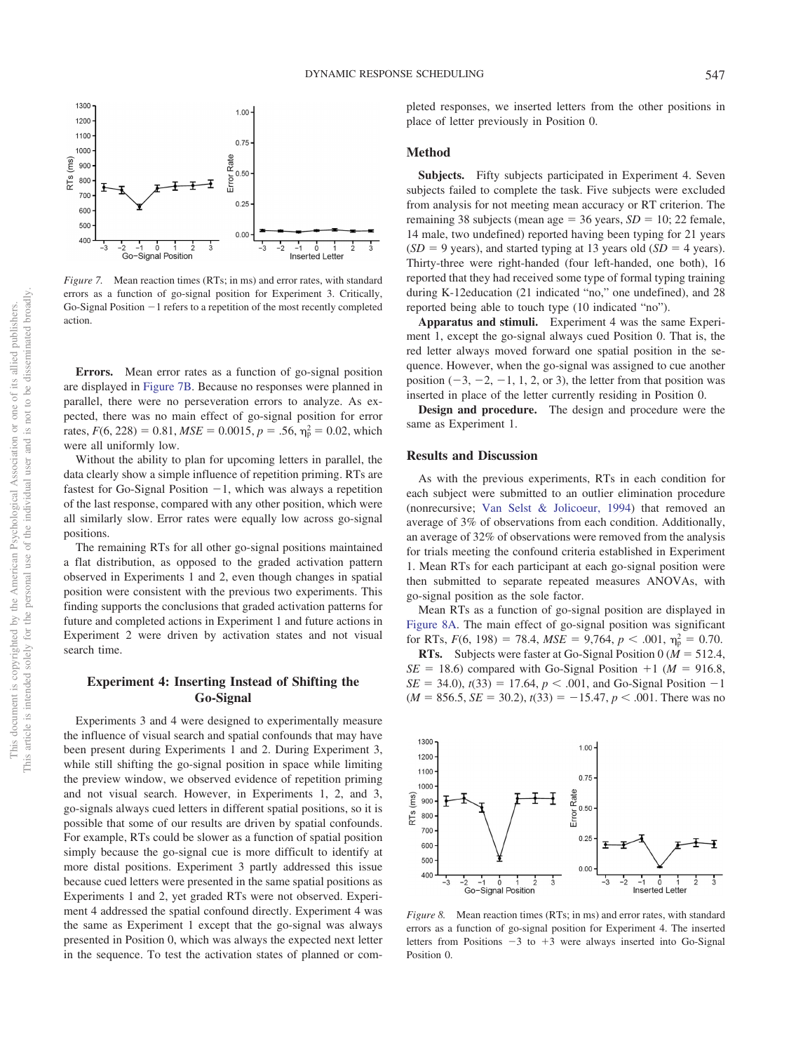

<span id="page-10-0"></span>*Figure 7.* Mean reaction times (RTs; in ms) and error rates, with standard errors as a function of go-signal position for Experiment 3. Critically, Go-Signal Position -1 refers to a repetition of the most recently completed action.

**Errors.** Mean error rates as a function of go-signal position are displayed in [Figure 7B.](#page-10-0) Because no responses were planned in parallel, there were no perseveration errors to analyze. As expected, there was no main effect of go-signal position for error rates,  $F(6, 228) = 0.81$ ,  $MSE = 0.0015$ ,  $p = .56$ ,  $\eta_p^2 = 0.02$ , which were all uniformly low.

Without the ability to plan for upcoming letters in parallel, the data clearly show a simple influence of repetition priming. RTs are fastest for Go-Signal Position  $-1$ , which was always a repetition of the last response, compared with any other position, which were all similarly slow. Error rates were equally low across go-signal positions.

The remaining RTs for all other go-signal positions maintained a flat distribution, as opposed to the graded activation pattern observed in Experiments 1 and 2, even though changes in spatial position were consistent with the previous two experiments. This finding supports the conclusions that graded activation patterns for future and completed actions in Experiment 1 and future actions in Experiment 2 were driven by activation states and not visual search time.

## **Experiment 4: Inserting Instead of Shifting the Go-Signal**

Experiments 3 and 4 were designed to experimentally measure the influence of visual search and spatial confounds that may have been present during Experiments 1 and 2. During Experiment 3, while still shifting the go-signal position in space while limiting the preview window, we observed evidence of repetition priming and not visual search. However, in Experiments 1, 2, and 3, go-signals always cued letters in different spatial positions, so it is possible that some of our results are driven by spatial confounds. For example, RTs could be slower as a function of spatial position simply because the go-signal cue is more difficult to identify at more distal positions. Experiment 3 partly addressed this issue because cued letters were presented in the same spatial positions as Experiments 1 and 2, yet graded RTs were not observed. Experiment 4 addressed the spatial confound directly. Experiment 4 was the same as Experiment 1 except that the go-signal was always presented in Position 0, which was always the expected next letter in the sequence. To test the activation states of planned or completed responses, we inserted letters from the other positions in place of letter previously in Position 0.

## **Method**

Subjects. Fifty subjects participated in Experiment 4. Seven subjects failed to complete the task. Five subjects were excluded from analysis for not meeting mean accuracy or RT criterion. The remaining 38 subjects (mean age  $=$  36 years,  $SD = 10$ ; 22 female, 14 male, two undefined) reported having been typing for 21 years  $(SD = 9$  years), and started typing at 13 years old  $(SD = 4$  years). Thirty-three were right-handed (four left-handed, one both), 16 reported that they had received some type of formal typing training during K-12education (21 indicated "no," one undefined), and 28 reported being able to touch type (10 indicated "no").

**Apparatus and stimuli.** Experiment 4 was the same Experiment 1, except the go-signal always cued Position 0. That is, the red letter always moved forward one spatial position in the sequence. However, when the go-signal was assigned to cue another position  $(-3, -2, -1, 1, 2, \text{ or } 3)$ , the letter from that position was inserted in place of the letter currently residing in Position 0.

**Design and procedure.** The design and procedure were the same as Experiment 1.

#### **Results and Discussion**

As with the previous experiments, RTs in each condition for each subject were submitted to an outlier elimination procedure (nonrecursive; [Van Selst & Jolicoeur, 1994\)](#page-17-26) that removed an average of 3% of observations from each condition. Additionally, an average of 32% of observations were removed from the analysis for trials meeting the confound criteria established in Experiment 1. Mean RTs for each participant at each go-signal position were then submitted to separate repeated measures ANOVAs, with go-signal position as the sole factor.

Mean RTs as a function of go-signal position are displayed in [Figure 8A.](#page-10-1) The main effect of go-signal position was significant for RTs,  $F(6, 198) = 78.4$ ,  $MSE = 9,764$ ,  $p < .001$ ,  $\eta_p^2 = 0.70$ .

**RTs.** Subjects were faster at Go-Signal Position 0 ( $M = 512.4$ ,  $SE = 18.6$ ) compared with Go-Signal Position  $+1$  (*M* = 916.8,  $SE = 34.0$ ,  $t(33) = 17.64$ ,  $p < .001$ , and Go-Signal Position  $-1$  $(M = 856.5, SE = 30.2), t(33) = -15.47, p < .001$ . There was no



<span id="page-10-1"></span>*Figure 8.* Mean reaction times (RTs; in ms) and error rates, with standard errors as a function of go-signal position for Experiment 4. The inserted letters from Positions  $-3$  to  $+3$  were always inserted into Go-Signal Position 0.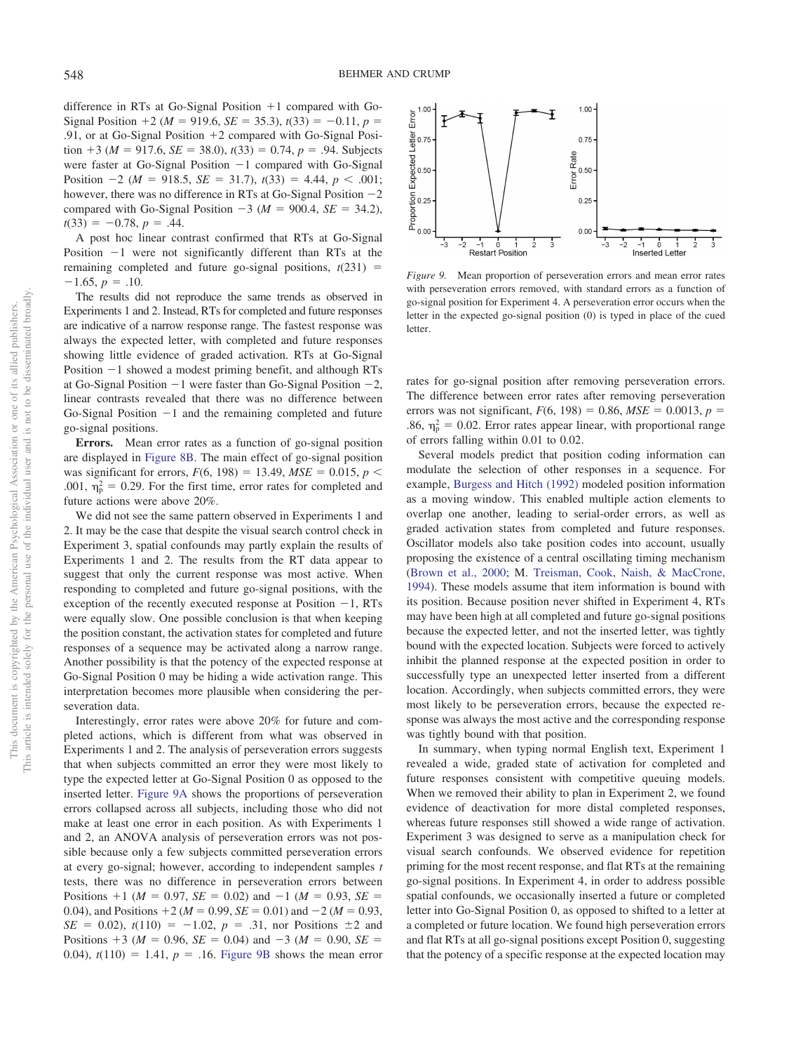difference in RTs at Go-Signal Position  $+1$  compared with Go-Signal Position  $+2$  ( $M = 919.6$ ,  $SE = 35.3$ ),  $t(33) = -0.11$ ,  $p =$ .91, or at Go-Signal Position  $+2$  compared with Go-Signal Position  $+3$  ( $M = 917.6$ ,  $SE = 38.0$ ),  $t(33) = 0.74$ ,  $p = .94$ . Subjects were faster at Go-Signal Position  $-1$  compared with Go-Signal Position  $-2$  ( $M = 918.5$ ,  $SE = 31.7$ ),  $t(33) = 4.44$ ,  $p < .001$ ; however, there was no difference in RTs at Go-Signal Position  $-2$ compared with Go-Signal Position  $-3$  ( $M = 900.4$ ,  $SE = 34.2$ ),  $t(33) = -0.78, p = .44.$ 

A post hoc linear contrast confirmed that RTs at Go-Signal Position -1 were not significantly different than RTs at the remaining completed and future go-signal positions,  $t(231)$  =  $-1.65, p = .10.$ 

The results did not reproduce the same trends as observed in Experiments 1 and 2. Instead, RTs for completed and future responses are indicative of a narrow response range. The fastest response was always the expected letter, with completed and future responses showing little evidence of graded activation. RTs at Go-Signal Position -1 showed a modest priming benefit, and although RTs at Go-Signal Position  $-1$  were faster than Go-Signal Position  $-2$ , linear contrasts revealed that there was no difference between Go-Signal Position  $-1$  and the remaining completed and future go-signal positions.

**Errors.** Mean error rates as a function of go-signal position are displayed in [Figure 8B.](#page-10-1) The main effect of go-signal position was significant for errors,  $F(6, 198) = 13.49$ ,  $MSE = 0.015$ ,  $p <$ .001,  $\eta_{\rm p}^2 = 0.29$ . For the first time, error rates for completed and future actions were above 20%.

We did not see the same pattern observed in Experiments 1 and 2. It may be the case that despite the visual search control check in Experiment 3, spatial confounds may partly explain the results of Experiments 1 and 2. The results from the RT data appear to suggest that only the current response was most active. When responding to completed and future go-signal positions, with the exception of the recently executed response at Position  $-1$ , RTs were equally slow. One possible conclusion is that when keeping the position constant, the activation states for completed and future responses of a sequence may be activated along a narrow range. Another possibility is that the potency of the expected response at Go-Signal Position 0 may be hiding a wide activation range. This interpretation becomes more plausible when considering the perseveration data.

Interestingly, error rates were above 20% for future and completed actions, which is different from what was observed in Experiments 1 and 2. The analysis of perseveration errors suggests that when subjects committed an error they were most likely to type the expected letter at Go-Signal Position 0 as opposed to the inserted letter. [Figure 9A](#page-11-0) shows the proportions of perseveration errors collapsed across all subjects, including those who did not make at least one error in each position. As with Experiments 1 and 2, an ANOVA analysis of perseveration errors was not possible because only a few subjects committed perseveration errors at every go-signal; however, according to independent samples *t* tests, there was no difference in perseveration errors between Positions  $+1$  ( $M = 0.97$ ,  $SE = 0.02$ ) and  $-1$  ( $M = 0.93$ ,  $SE =$ 0.04), and Positions  $+2$  ( $M = 0.99$ ,  $SE = 0.01$ ) and  $-2$  ( $M = 0.93$ ,  $SE = 0.02$ ,  $t(110) = -1.02$ ,  $p = .31$ , nor Positions  $\pm 2$  and Positions  $+3$  ( $M = 0.96$ ,  $SE = 0.04$ ) and  $-3$  ( $M = 0.90$ ,  $SE =$ 0.04),  $t(110) = 1.41$ ,  $p = .16$ . [Figure 9B](#page-11-0) shows the mean error



<span id="page-11-0"></span>*Figure 9.* Mean proportion of perseveration errors and mean error rates with perseveration errors removed, with standard errors as a function of go-signal position for Experiment 4. A perseveration error occurs when the letter in the expected go-signal position (0) is typed in place of the cued letter.

rates for go-signal position after removing perseveration errors. The difference between error rates after removing perseveration errors was not significant,  $F(6, 198) = 0.86$ ,  $MSE = 0.0013$ ,  $p =$ .86,  $\eta_{\rm p}^2 = 0.02$ . Error rates appear linear, with proportional range of errors falling within 0.01 to 0.02.

Several models predict that position coding information can modulate the selection of other responses in a sequence. For example, [Burgess and Hitch \(1992\)](#page-16-11) modeled position information as a moving window. This enabled multiple action elements to overlap one another, leading to serial-order errors, as well as graded activation states from completed and future responses. Oscillator models also take position codes into account, usually proposing the existence of a central oscillating timing mechanism [\(Brown et al., 2000;](#page-16-7) M. [Treisman, Cook, Naish, & MacCrone,](#page-17-31) [1994\)](#page-17-31). These models assume that item information is bound with its position. Because position never shifted in Experiment 4, RTs may have been high at all completed and future go-signal positions because the expected letter, and not the inserted letter, was tightly bound with the expected location. Subjects were forced to actively inhibit the planned response at the expected position in order to successfully type an unexpected letter inserted from a different location. Accordingly, when subjects committed errors, they were most likely to be perseveration errors, because the expected response was always the most active and the corresponding response was tightly bound with that position.

In summary, when typing normal English text, Experiment 1 revealed a wide, graded state of activation for completed and future responses consistent with competitive queuing models. When we removed their ability to plan in Experiment 2, we found evidence of deactivation for more distal completed responses, whereas future responses still showed a wide range of activation. Experiment 3 was designed to serve as a manipulation check for visual search confounds. We observed evidence for repetition priming for the most recent response, and flat RTs at the remaining go-signal positions. In Experiment 4, in order to address possible spatial confounds, we occasionally inserted a future or completed letter into Go-Signal Position 0, as opposed to shifted to a letter at a completed or future location. We found high perseveration errors and flat RTs at all go-signal positions except Position 0, suggesting that the potency of a specific response at the expected location may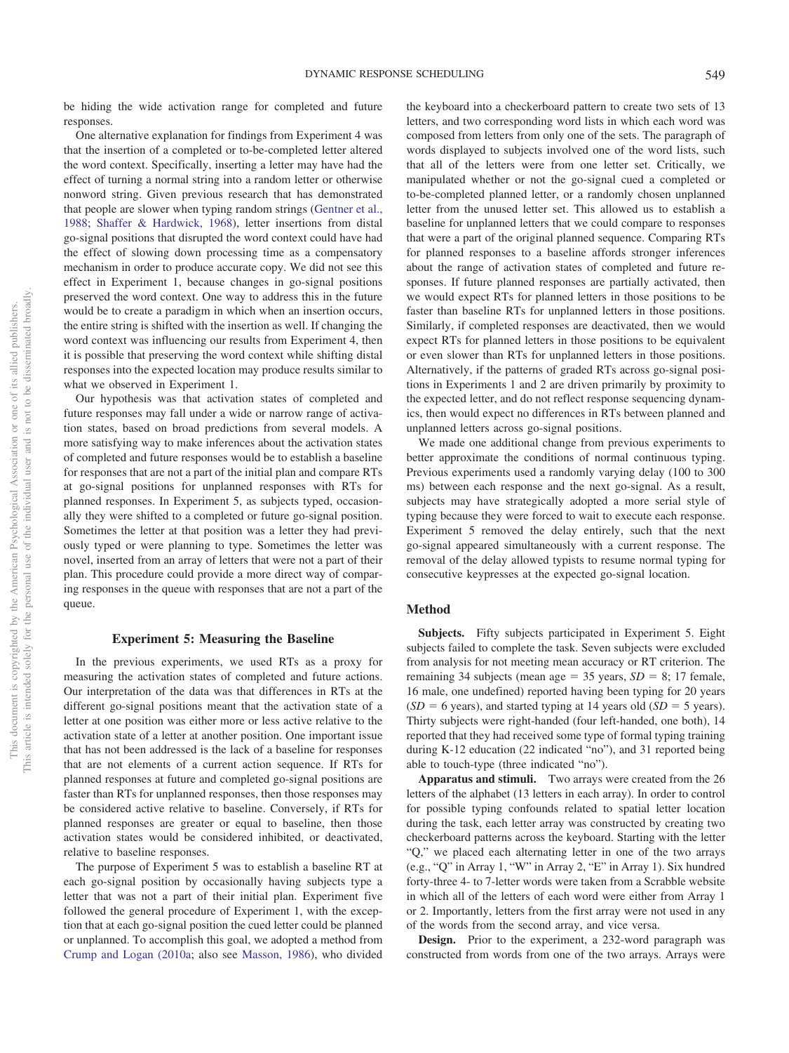be hiding the wide activation range for completed and future responses.

One alternative explanation for findings from Experiment 4 was that the insertion of a completed or to-be-completed letter altered the word context. Specifically, inserting a letter may have had the effect of turning a normal string into a random letter or otherwise nonword string. Given previous research that has demonstrated that people are slower when typing random strings [\(Gentner et al.,](#page-17-28) [1988;](#page-17-28) [Shaffer & Hardwick, 1968\)](#page-17-29), letter insertions from distal go-signal positions that disrupted the word context could have had the effect of slowing down processing time as a compensatory mechanism in order to produce accurate copy. We did not see this effect in Experiment 1, because changes in go-signal positions preserved the word context. One way to address this in the future would be to create a paradigm in which when an insertion occurs, the entire string is shifted with the insertion as well. If changing the word context was influencing our results from Experiment 4, then it is possible that preserving the word context while shifting distal responses into the expected location may produce results similar to what we observed in Experiment 1.

Our hypothesis was that activation states of completed and future responses may fall under a wide or narrow range of activation states, based on broad predictions from several models. A more satisfying way to make inferences about the activation states of completed and future responses would be to establish a baseline for responses that are not a part of the initial plan and compare RTs at go-signal positions for unplanned responses with RTs for planned responses. In Experiment 5, as subjects typed, occasionally they were shifted to a completed or future go-signal position. Sometimes the letter at that position was a letter they had previously typed or were planning to type. Sometimes the letter was novel, inserted from an array of letters that were not a part of their plan. This procedure could provide a more direct way of comparing responses in the queue with responses that are not a part of the queue.

## **Experiment 5: Measuring the Baseline**

In the previous experiments, we used RTs as a proxy for measuring the activation states of completed and future actions. Our interpretation of the data was that differences in RTs at the different go-signal positions meant that the activation state of a letter at one position was either more or less active relative to the activation state of a letter at another position. One important issue that has not been addressed is the lack of a baseline for responses that are not elements of a current action sequence. If RTs for planned responses at future and completed go-signal positions are faster than RTs for unplanned responses, then those responses may be considered active relative to baseline. Conversely, if RTs for planned responses are greater or equal to baseline, then those activation states would be considered inhibited, or deactivated, relative to baseline responses.

The purpose of Experiment 5 was to establish a baseline RT at each go-signal position by occasionally having subjects type a letter that was not a part of their initial plan. Experiment five followed the general procedure of Experiment 1, with the exception that at each go-signal position the cued letter could be planned or unplanned. To accomplish this goal, we adopted a method from [Crump and Logan \(2010a;](#page-17-32) also see [Masson, 1986\)](#page-17-33), who divided the keyboard into a checkerboard pattern to create two sets of 13 letters, and two corresponding word lists in which each word was composed from letters from only one of the sets. The paragraph of words displayed to subjects involved one of the word lists, such that all of the letters were from one letter set. Critically, we manipulated whether or not the go-signal cued a completed or to-be-completed planned letter, or a randomly chosen unplanned letter from the unused letter set. This allowed us to establish a baseline for unplanned letters that we could compare to responses that were a part of the original planned sequence. Comparing RTs for planned responses to a baseline affords stronger inferences about the range of activation states of completed and future responses. If future planned responses are partially activated, then we would expect RTs for planned letters in those positions to be faster than baseline RTs for unplanned letters in those positions. Similarly, if completed responses are deactivated, then we would expect RTs for planned letters in those positions to be equivalent or even slower than RTs for unplanned letters in those positions. Alternatively, if the patterns of graded RTs across go-signal positions in Experiments 1 and 2 are driven primarily by proximity to the expected letter, and do not reflect response sequencing dynamics, then would expect no differences in RTs between planned and unplanned letters across go-signal positions.

We made one additional change from previous experiments to better approximate the conditions of normal continuous typing. Previous experiments used a randomly varying delay (100 to 300 ms) between each response and the next go-signal. As a result, subjects may have strategically adopted a more serial style of typing because they were forced to wait to execute each response. Experiment 5 removed the delay entirely, such that the next go-signal appeared simultaneously with a current response. The removal of the delay allowed typists to resume normal typing for consecutive keypresses at the expected go-signal location.

## **Method**

**Subjects.** Fifty subjects participated in Experiment 5. Eight subjects failed to complete the task. Seven subjects were excluded from analysis for not meeting mean accuracy or RT criterion. The remaining 34 subjects (mean age  $=$  35 years, *SD*  $=$  8; 17 female, 16 male, one undefined) reported having been typing for 20 years  $(SD = 6$  years), and started typing at 14 years old  $(SD = 5$  years). Thirty subjects were right-handed (four left-handed, one both), 14 reported that they had received some type of formal typing training during K-12 education (22 indicated "no"), and 31 reported being able to touch-type (three indicated "no").

**Apparatus and stimuli.** Two arrays were created from the 26 letters of the alphabet (13 letters in each array). In order to control for possible typing confounds related to spatial letter location during the task, each letter array was constructed by creating two checkerboard patterns across the keyboard. Starting with the letter "Q," we placed each alternating letter in one of the two arrays (e.g., "Q" in Array 1, "W" in Array 2, "E" in Array 1). Six hundred forty-three 4- to 7-letter words were taken from a Scrabble website in which all of the letters of each word were either from Array 1 or 2. Importantly, letters from the first array were not used in any of the words from the second array, and vice versa.

**Design.** Prior to the experiment, a 232-word paragraph was constructed from words from one of the two arrays. Arrays were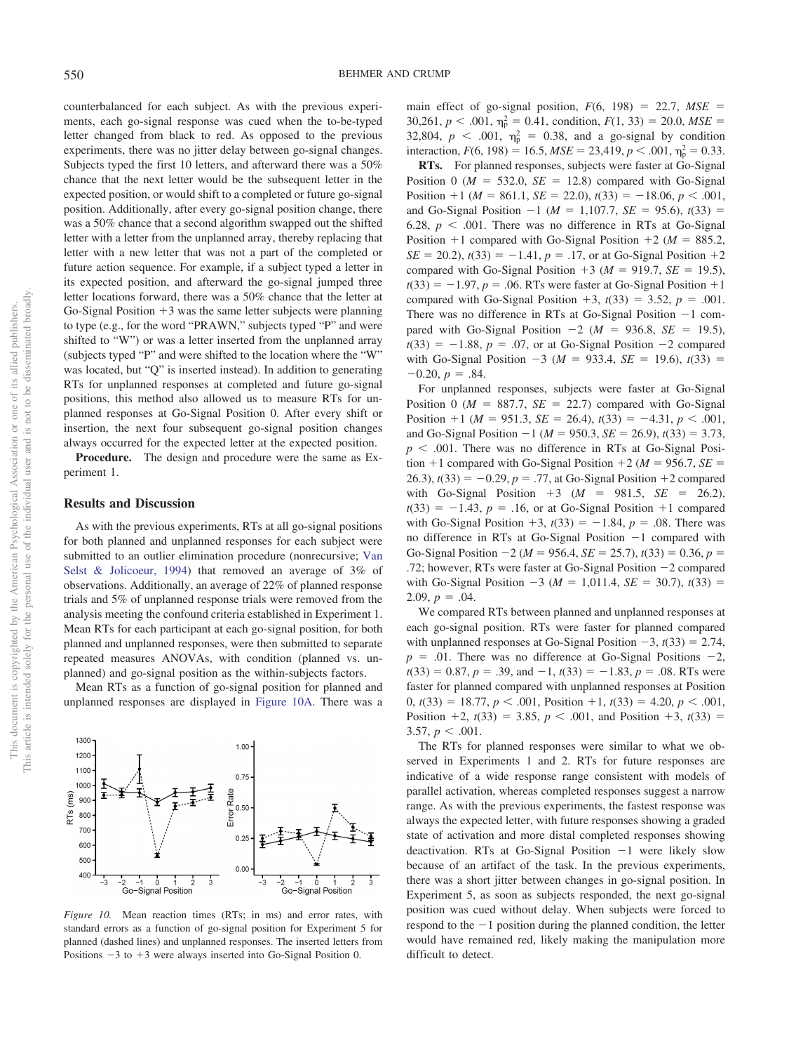counterbalanced for each subject. As with the previous experiments, each go-signal response was cued when the to-be-typed letter changed from black to red. As opposed to the previous experiments, there was no jitter delay between go-signal changes. Subjects typed the first 10 letters, and afterward there was a 50% chance that the next letter would be the subsequent letter in the expected position, or would shift to a completed or future go-signal position. Additionally, after every go-signal position change, there was a 50% chance that a second algorithm swapped out the shifted letter with a letter from the unplanned array, thereby replacing that letter with a new letter that was not a part of the completed or future action sequence. For example, if a subject typed a letter in its expected position, and afterward the go-signal jumped three letter locations forward, there was a 50% chance that the letter at Go-Signal Position  $+3$  was the same letter subjects were planning to type (e.g., for the word "PRAWN," subjects typed "P" and were shifted to "W") or was a letter inserted from the unplanned array (subjects typed "P" and were shifted to the location where the "W" was located, but "Q" is inserted instead). In addition to generating RTs for unplanned responses at completed and future go-signal positions, this method also allowed us to measure RTs for unplanned responses at Go-Signal Position 0. After every shift or insertion, the next four subsequent go-signal position changes always occurred for the expected letter at the expected position.

**Procedure.** The design and procedure were the same as Experiment 1.

## **Results and Discussion**

1300

1200 1100

1000

800 700

600 500

400

ö Go-Signal Position

RTs (ms) 900

As with the previous experiments, RTs at all go-signal positions for both planned and unplanned responses for each subject were submitted to an outlier elimination procedure (nonrecursive; [Van](#page-17-26) [Selst & Jolicoeur, 1994\)](#page-17-26) that removed an average of 3% of observations. Additionally, an average of 22% of planned response trials and 5% of unplanned response trials were removed from the analysis meeting the confound criteria established in Experiment 1. Mean RTs for each participant at each go-signal position, for both planned and unplanned responses, were then submitted to separate repeated measures ANOVAs, with condition (planned vs. unplanned) and go-signal position as the within-subjects factors.

Mean RTs as a function of go-signal position for planned and unplanned responses are displayed in [Figure 10A.](#page-13-0) There was a

1.00

0.75

 $0.50$ 

 $0.25$ 

 $0.00$ 

-Signal Position

Error Rate

<span id="page-13-0"></span>

main effect of go-signal position,  $F(6, 198) = 22.7$ ,  $MSE =$ 30,261,  $p < .001$ ,  $\eta_p^2 = 0.41$ , condition,  $F(1, 33) = 20.0$ ,  $MSE =$ 32,804,  $p < .001$ ,  $\eta_{\rm p}^2 = 0.38$ , and a go-signal by condition interaction,  $F(6, 198) = 16.5$ ,  $MSE = 23,419$ ,  $p < .001$ ,  $\eta_p^2 = 0.33$ .

**RTs.** For planned responses, subjects were faster at Go-Signal Position 0 ( $M = 532.0$ ,  $SE = 12.8$ ) compared with Go-Signal Position  $+1$  (*M* = 861.1, *SE* = 22.0),  $t(33) = -18.06$ ,  $p < .001$ , and Go-Signal Position  $-1$  ( $M = 1,107.7$ ,  $SE = 95.6$ ),  $t(33) =$ 6.28,  $p < .001$ . There was no difference in RTs at Go-Signal Position  $+1$  compared with Go-Signal Position  $+2$  ( $M = 885.2$ ,  $SE = 20.2$ ,  $t(33) = -1.41$ ,  $p = .17$ , or at Go-Signal Position  $+2$ compared with Go-Signal Position  $+3$  ( $M = 919.7$ ,  $SE = 19.5$ ),  $t(33) = -1.97$ ,  $p = .06$ . RTs were faster at Go-Signal Position +1 compared with Go-Signal Position  $+3$ ,  $t(33) = 3.52$ ,  $p = .001$ . There was no difference in RTs at Go-Signal Position  $-1$  compared with Go-Signal Position  $-2$  ( $M = 936.8$ ,  $SE = 19.5$ ),  $t(33) = -1.88$ ,  $p = .07$ , or at Go-Signal Position  $-2$  compared with Go-Signal Position  $-3$  ( $M = 933.4$ ,  $SE = 19.6$ ),  $t(33) =$  $-0.20, p = .84.$ 

For unplanned responses, subjects were faster at Go-Signal Position 0 ( $M = 887.7$ ,  $SE = 22.7$ ) compared with Go-Signal Position  $+1$  (*M* = 951.3, *SE* = 26.4),  $t(33) = -4.31$ ,  $p < .001$ , and Go-Signal Position  $-1$  ( $M = 950.3$ ,  $SE = 26.9$ ),  $t(33) = 3.73$ ,  $p < .001$ . There was no difference in RTs at Go-Signal Position  $+1$  compared with Go-Signal Position  $+2$  ( $M = 956.7$ ,  $SE =$ 26.3),  $t(33) = -0.29$ ,  $p = .77$ , at Go-Signal Position  $+2$  compared with Go-Signal Position  $+3$  ( $M = 981.5$ ,  $SE = 26.2$ ),  $t(33) = -1.43$ ,  $p = .16$ , or at Go-Signal Position +1 compared with Go-Signal Position  $+3$ ,  $t(33) = -1.84$ ,  $p = .08$ . There was no difference in RTs at Go-Signal Position -1 compared with Go-Signal Position  $-2$  ( $M = 956.4$ ,  $SE = 25.7$ ),  $t(33) = 0.36$ ,  $p =$ .72; however, RTs were faster at Go-Signal Position -2 compared with Go-Signal Position  $-3$  ( $M = 1,011.4$ ,  $SE = 30.7$ ),  $t(33) =$ 2.09,  $p = .04$ .

We compared RTs between planned and unplanned responses at each go-signal position. RTs were faster for planned compared with unplanned responses at Go-Signal Position  $-3$ ,  $t(33) = 2.74$ ,  $p = .01$ . There was no difference at Go-Signal Positions  $-2$ ,  $t(33) = 0.87, p = .39, \text{ and } -1, t(33) = -1.83, p = .08$ . RTs were faster for planned compared with unplanned responses at Position  $0, t(33) = 18.77, p < .001,$  Position +1,  $t(33) = 4.20, p < .001,$ Position  $+2$ ,  $t(33) = 3.85$ ,  $p < .001$ , and Position  $+3$ ,  $t(33) =$ 3.57,  $p < .001$ .

The RTs for planned responses were similar to what we observed in Experiments 1 and 2. RTs for future responses are indicative of a wide response range consistent with models of parallel activation, whereas completed responses suggest a narrow range. As with the previous experiments, the fastest response was always the expected letter, with future responses showing a graded state of activation and more distal completed responses showing deactivation. RTs at Go-Signal Position -1 were likely slow because of an artifact of the task. In the previous experiments, there was a short jitter between changes in go-signal position. In Experiment 5, as soon as subjects responded, the next go-signal position was cued without delay. When subjects were forced to respond to the  $-1$  position during the planned condition, the letter would have remained red, likely making the manipulation more difficult to detect.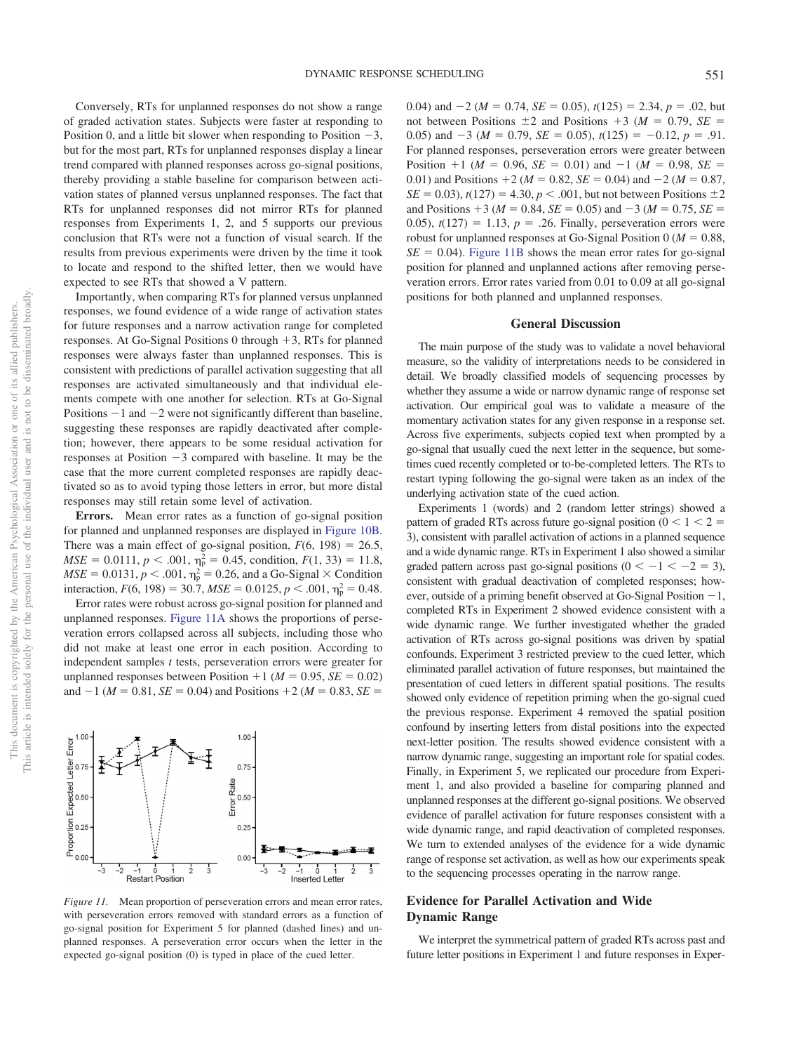$0.00$ 

 $-1$  0 1<br>Restart Position

Conversely, RTs for unplanned responses do not show a range of graded activation states. Subjects were faster at responding to Position 0, and a little bit slower when responding to Position  $-3$ , but for the most part, RTs for unplanned responses display a linear trend compared with planned responses across go-signal positions, thereby providing a stable baseline for comparison between activation states of planned versus unplanned responses. The fact that RTs for unplanned responses did not mirror RTs for planned responses from Experiments 1, 2, and 5 supports our previous conclusion that RTs were not a function of visual search. If the results from previous experiments were driven by the time it took to locate and respond to the shifted letter, then we would have expected to see RTs that showed a V pattern.

Importantly, when comparing RTs for planned versus unplanned responses, we found evidence of a wide range of activation states for future responses and a narrow activation range for completed responses. At Go-Signal Positions 0 through  $+3$ , RTs for planned responses were always faster than unplanned responses. This is consistent with predictions of parallel activation suggesting that all responses are activated simultaneously and that individual elements compete with one another for selection. RTs at Go-Signal Positions  $-1$  and  $-2$  were not significantly different than baseline, suggesting these responses are rapidly deactivated after completion; however, there appears to be some residual activation for responses at Position  $-3$  compared with baseline. It may be the case that the more current completed responses are rapidly deactivated so as to avoid typing those letters in error, but more distal responses may still retain some level of activation.

**Errors.** Mean error rates as a function of go-signal position for planned and unplanned responses are displayed in [Figure 10B.](#page-13-0) There was a main effect of go-signal position,  $F(6, 198) = 26.5$ ,  $MSE = 0.0111$ ,  $p < .001$ ,  $\eta_p^2 = 0.45$ , condition,  $F(1, 33) = 11.8$ ,  $MSE = 0.0131, p < .001, \eta_p^2 = 0.26$ , and a Go-Signal  $\times$  Condition interaction,  $F(6, 198) = 30.7$ ,  $MSE = 0.0125$ ,  $p < .001$ ,  $\eta_p^2 = 0.48$ .

Error rates were robust across go-signal position for planned and unplanned responses. [Figure 11A](#page-14-0) shows the proportions of perseveration errors collapsed across all subjects, including those who did not make at least one error in each position. According to independent samples *t* tests, perseveration errors were greater for unplanned responses between Position  $+1$  ( $M = 0.95$ , *SE* = 0.02) and  $-1$  ( $M = 0.81$ ,  $SE = 0.04$ ) and Positions  $+2$  ( $M = 0.83$ ,  $SE =$ 

1.00

 $0.75$ 

 $0.25$ 

 $0.00$ 

 $-1 \t 0 \t 1$ <br>Inserted Letter

**Error Rate**  $0.50$ 

<span id="page-14-0"></span>

0.04) and  $-2$  ( $M = 0.74$ ,  $SE = 0.05$ ),  $t(125) = 2.34$ ,  $p = .02$ , but not between Positions  $\pm 2$  and Positions  $+3$  ( $M = 0.79$ ,  $SE =$ 0.05) and  $-3$  ( $M = 0.79$ ,  $SE = 0.05$ ),  $t(125) = -0.12$ ,  $p = .91$ . For planned responses, perseveration errors were greater between Position  $+1$  ( $M = 0.96$ ,  $SE = 0.01$ ) and  $-1$  ( $M = 0.98$ ,  $SE =$ 0.01) and Positions  $+2$  ( $M = 0.82$ ,  $SE = 0.04$ ) and  $-2$  ( $M = 0.87$ , *SE* = 0.03),  $t(127) = 4.30, p < .001$ , but not between Positions  $\pm 2$ and Positions  $+3$  ( $M = 0.84$ ,  $SE = 0.05$ ) and  $-3$  ( $M = 0.75$ ,  $SE =$ 0.05),  $t(127) = 1.13$ ,  $p = .26$ . Finally, perseveration errors were robust for unplanned responses at Go-Signal Position  $0 (M = 0.88,$  $SE = 0.04$ ). [Figure 11B](#page-14-0) shows the mean error rates for go-signal position for planned and unplanned actions after removing perseveration errors. Error rates varied from 0.01 to 0.09 at all go-signal positions for both planned and unplanned responses.

#### **General Discussion**

The main purpose of the study was to validate a novel behavioral measure, so the validity of interpretations needs to be considered in detail. We broadly classified models of sequencing processes by whether they assume a wide or narrow dynamic range of response set activation. Our empirical goal was to validate a measure of the momentary activation states for any given response in a response set. Across five experiments, subjects copied text when prompted by a go-signal that usually cued the next letter in the sequence, but sometimes cued recently completed or to-be-completed letters. The RTs to restart typing following the go-signal were taken as an index of the underlying activation state of the cued action.

Experiments 1 (words) and 2 (random letter strings) showed a pattern of graded RTs across future go-signal position ( $0 < 1 < 2 =$ 3), consistent with parallel activation of actions in a planned sequence and a wide dynamic range. RTs in Experiment 1 also showed a similar graded pattern across past go-signal positions  $(0 < -1 < -2 = 3)$ , consistent with gradual deactivation of completed responses; however, outside of a priming benefit observed at Go-Signal Position  $-1$ , completed RTs in Experiment 2 showed evidence consistent with a wide dynamic range. We further investigated whether the graded activation of RTs across go-signal positions was driven by spatial confounds. Experiment 3 restricted preview to the cued letter, which eliminated parallel activation of future responses, but maintained the presentation of cued letters in different spatial positions. The results showed only evidence of repetition priming when the go-signal cued the previous response. Experiment 4 removed the spatial position confound by inserting letters from distal positions into the expected next-letter position. The results showed evidence consistent with a narrow dynamic range, suggesting an important role for spatial codes. Finally, in Experiment 5, we replicated our procedure from Experiment 1, and also provided a baseline for comparing planned and unplanned responses at the different go-signal positions. We observed evidence of parallel activation for future responses consistent with a wide dynamic range, and rapid deactivation of completed responses. We turn to extended analyses of the evidence for a wide dynamic range of response set activation, as well as how our experiments speak to the sequencing processes operating in the narrow range.

## **Evidence for Parallel Activation and Wide Dynamic Range**

We interpret the symmetrical pattern of graded RTs across past and future letter positions in Experiment 1 and future responses in Exper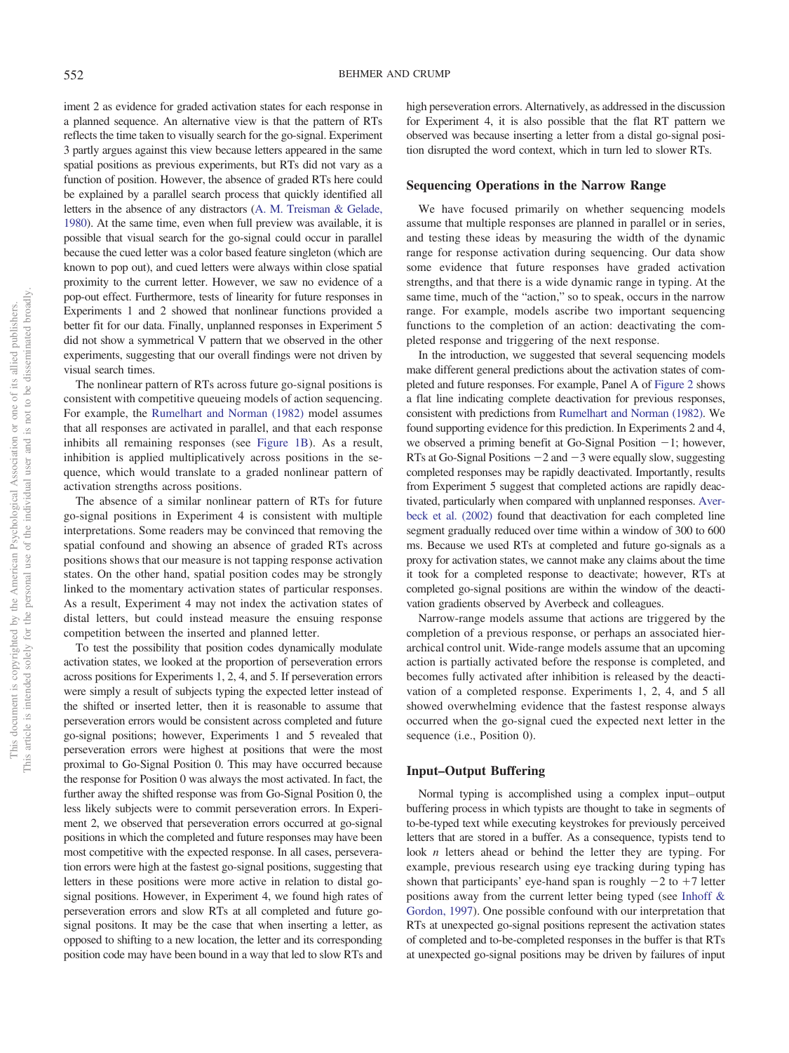iment 2 as evidence for graded activation states for each response in a planned sequence. An alternative view is that the pattern of RTs reflects the time taken to visually search for the go-signal. Experiment 3 partly argues against this view because letters appeared in the same spatial positions as previous experiments, but RTs did not vary as a function of position. However, the absence of graded RTs here could be explained by a parallel search process that quickly identified all letters in the absence of any distractors [\(A. M. Treisman & Gelade,](#page-17-27) [1980\)](#page-17-27). At the same time, even when full preview was available, it is possible that visual search for the go-signal could occur in parallel because the cued letter was a color based feature singleton (which are known to pop out), and cued letters were always within close spatial proximity to the current letter. However, we saw no evidence of a pop-out effect. Furthermore, tests of linearity for future responses in Experiments 1 and 2 showed that nonlinear functions provided a better fit for our data. Finally, unplanned responses in Experiment 5 did not show a symmetrical V pattern that we observed in the other experiments, suggesting that our overall findings were not driven by visual search times.

The nonlinear pattern of RTs across future go-signal positions is consistent with competitive queueing models of action sequencing. For example, the [Rumelhart and Norman \(1982\)](#page-17-12) model assumes that all responses are activated in parallel, and that each response inhibits all remaining responses (see [Figure 1B\)](#page-1-0). As a result, inhibition is applied multiplicatively across positions in the sequence, which would translate to a graded nonlinear pattern of activation strengths across positions.

The absence of a similar nonlinear pattern of RTs for future go-signal positions in Experiment 4 is consistent with multiple interpretations. Some readers may be convinced that removing the spatial confound and showing an absence of graded RTs across positions shows that our measure is not tapping response activation states. On the other hand, spatial position codes may be strongly linked to the momentary activation states of particular responses. As a result, Experiment 4 may not index the activation states of distal letters, but could instead measure the ensuing response competition between the inserted and planned letter.

To test the possibility that position codes dynamically modulate activation states, we looked at the proportion of perseveration errors across positions for Experiments 1, 2, 4, and 5. If perseveration errors were simply a result of subjects typing the expected letter instead of the shifted or inserted letter, then it is reasonable to assume that perseveration errors would be consistent across completed and future go-signal positions; however, Experiments 1 and 5 revealed that perseveration errors were highest at positions that were the most proximal to Go-Signal Position 0. This may have occurred because the response for Position 0 was always the most activated. In fact, the further away the shifted response was from Go-Signal Position 0, the less likely subjects were to commit perseveration errors. In Experiment 2, we observed that perseveration errors occurred at go-signal positions in which the completed and future responses may have been most competitive with the expected response. In all cases, perseveration errors were high at the fastest go-signal positions, suggesting that letters in these positions were more active in relation to distal gosignal positions. However, in Experiment 4, we found high rates of perseveration errors and slow RTs at all completed and future gosignal positons. It may be the case that when inserting a letter, as opposed to shifting to a new location, the letter and its corresponding position code may have been bound in a way that led to slow RTs and

high perseveration errors. Alternatively, as addressed in the discussion for Experiment 4, it is also possible that the flat RT pattern we observed was because inserting a letter from a distal go-signal position disrupted the word context, which in turn led to slower RTs.

## **Sequencing Operations in the Narrow Range**

We have focused primarily on whether sequencing models assume that multiple responses are planned in parallel or in series, and testing these ideas by measuring the width of the dynamic range for response activation during sequencing. Our data show some evidence that future responses have graded activation strengths, and that there is a wide dynamic range in typing. At the same time, much of the "action," so to speak, occurs in the narrow range. For example, models ascribe two important sequencing functions to the completion of an action: deactivating the completed response and triggering of the next response.

In the introduction, we suggested that several sequencing models make different general predictions about the activation states of completed and future responses. For example, Panel A of [Figure 2](#page-5-0) shows a flat line indicating complete deactivation for previous responses, consistent with predictions from [Rumelhart and Norman \(1982\).](#page-17-12) We found supporting evidence for this prediction. In Experiments 2 and 4, we observed a priming benefit at Go-Signal Position  $-1$ ; however, RTs at Go-Signal Positions  $-2$  and  $-3$  were equally slow, suggesting completed responses may be rapidly deactivated. Importantly, results from Experiment 5 suggest that completed actions are rapidly deactivated, particularly when compared with unplanned responses. [Aver](#page-16-8)[beck et al. \(2002\)](#page-16-8) found that deactivation for each completed line segment gradually reduced over time within a window of 300 to 600 ms. Because we used RTs at completed and future go-signals as a proxy for activation states, we cannot make any claims about the time it took for a completed response to deactivate; however, RTs at completed go-signal positions are within the window of the deactivation gradients observed by Averbeck and colleagues.

Narrow-range models assume that actions are triggered by the completion of a previous response, or perhaps an associated hierarchical control unit. Wide-range models assume that an upcoming action is partially activated before the response is completed, and becomes fully activated after inhibition is released by the deactivation of a completed response. Experiments 1, 2, 4, and 5 all showed overwhelming evidence that the fastest response always occurred when the go-signal cued the expected next letter in the sequence (i.e., Position 0).

#### **Input–Output Buffering**

Normal typing is accomplished using a complex input– output buffering process in which typists are thought to take in segments of to-be-typed text while executing keystrokes for previously perceived letters that are stored in a buffer. As a consequence, typists tend to look *n* letters ahead or behind the letter they are typing. For example, previous research using eye tracking during typing has shown that participants' eye-hand span is roughly  $-2$  to  $+7$  letter positions away from the current letter being typed (see [Inhoff &](#page-17-34) [Gordon, 1997\)](#page-17-34). One possible confound with our interpretation that RTs at unexpected go-signal positions represent the activation states of completed and to-be-completed responses in the buffer is that RTs at unexpected go-signal positions may be driven by failures of input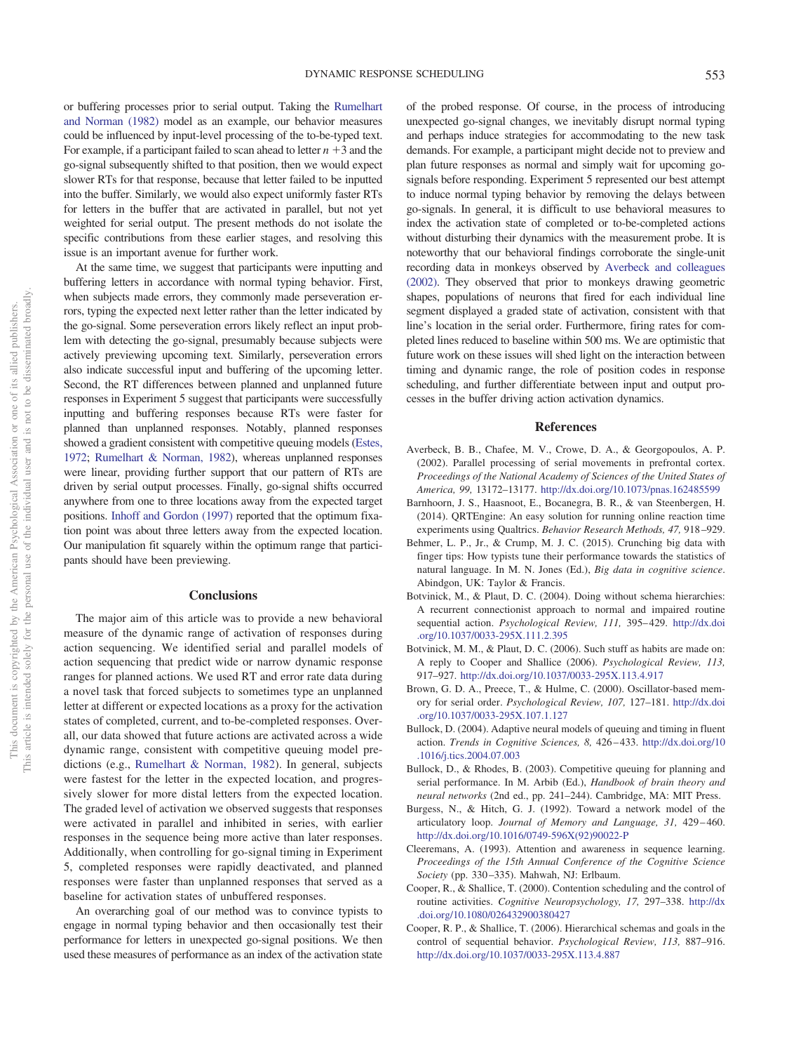or buffering processes prior to serial output. Taking the [Rumelhart](#page-17-12) [and Norman \(1982\)](#page-17-12) model as an example, our behavior measures could be influenced by input-level processing of the to-be-typed text. For example, if a participant failed to scan ahead to letter  $n + 3$  and the go-signal subsequently shifted to that position, then we would expect slower RTs for that response, because that letter failed to be inputted into the buffer. Similarly, we would also expect uniformly faster RTs for letters in the buffer that are activated in parallel, but not yet weighted for serial output. The present methods do not isolate the specific contributions from these earlier stages, and resolving this issue is an important avenue for further work.

At the same time, we suggest that participants were inputting and buffering letters in accordance with normal typing behavior. First, when subjects made errors, they commonly made perseveration errors, typing the expected next letter rather than the letter indicated by the go-signal. Some perseveration errors likely reflect an input problem with detecting the go-signal, presumably because subjects were actively previewing upcoming text. Similarly, perseveration errors also indicate successful input and buffering of the upcoming letter. Second, the RT differences between planned and unplanned future responses in Experiment 5 suggest that participants were successfully inputting and buffering responses because RTs were faster for planned than unplanned responses. Notably, planned responses showed a gradient consistent with competitive queuing models [\(Estes,](#page-17-11) [1972;](#page-17-11) [Rumelhart & Norman, 1982\)](#page-17-12), whereas unplanned responses were linear, providing further support that our pattern of RTs are driven by serial output processes. Finally, go-signal shifts occurred anywhere from one to three locations away from the expected target positions. [Inhoff and Gordon \(1997\)](#page-17-34) reported that the optimum fixation point was about three letters away from the expected location. Our manipulation fit squarely within the optimum range that participants should have been previewing.

## **Conclusions**

The major aim of this article was to provide a new behavioral measure of the dynamic range of activation of responses during action sequencing. We identified serial and parallel models of action sequencing that predict wide or narrow dynamic response ranges for planned actions. We used RT and error rate data during a novel task that forced subjects to sometimes type an unplanned letter at different or expected locations as a proxy for the activation states of completed, current, and to-be-completed responses. Overall, our data showed that future actions are activated across a wide dynamic range, consistent with competitive queuing model predictions (e.g., [Rumelhart & Norman, 1982\)](#page-17-12). In general, subjects were fastest for the letter in the expected location, and progressively slower for more distal letters from the expected location. The graded level of activation we observed suggests that responses were activated in parallel and inhibited in series, with earlier responses in the sequence being more active than later responses. Additionally, when controlling for go-signal timing in Experiment 5, completed responses were rapidly deactivated, and planned responses were faster than unplanned responses that served as a baseline for activation states of unbuffered responses.

An overarching goal of our method was to convince typists to engage in normal typing behavior and then occasionally test their performance for letters in unexpected go-signal positions. We then used these measures of performance as an index of the activation state

of the probed response. Of course, in the process of introducing unexpected go-signal changes, we inevitably disrupt normal typing and perhaps induce strategies for accommodating to the new task demands. For example, a participant might decide not to preview and plan future responses as normal and simply wait for upcoming gosignals before responding. Experiment 5 represented our best attempt to induce normal typing behavior by removing the delays between go-signals. In general, it is difficult to use behavioral measures to index the activation state of completed or to-be-completed actions without disturbing their dynamics with the measurement probe. It is noteworthy that our behavioral findings corroborate the single-unit recording data in monkeys observed by [Averbeck and colleagues](#page-16-8) [\(2002\).](#page-16-8) They observed that prior to monkeys drawing geometric shapes, populations of neurons that fired for each individual line segment displayed a graded state of activation, consistent with that line's location in the serial order. Furthermore, firing rates for completed lines reduced to baseline within 500 ms. We are optimistic that future work on these issues will shed light on the interaction between timing and dynamic range, the role of position codes in response scheduling, and further differentiate between input and output processes in the buffer driving action activation dynamics.

#### **References**

- <span id="page-16-8"></span>Averbeck, B. B., Chafee, M. V., Crowe, D. A., & Georgopoulos, A. P. (2002). Parallel processing of serial movements in prefrontal cortex. *Proceedings of the National Academy of Sciences of the United States of America, 99,* 13172–13177. <http://dx.doi.org/10.1073/pnas.162485599>
- <span id="page-16-9"></span>Barnhoorn, J. S., Haasnoot, E., Bocanegra, B. R., & van Steenbergen, H. (2014). QRTEngine: An easy solution for running online reaction time experiments using Qualtrics. *Behavior Research Methods, 47,* 918 –929.
- <span id="page-16-10"></span>Behmer, L. P., Jr., & Crump, M. J. C. (2015). Crunching big data with finger tips: How typists tune their performance towards the statistics of natural language. In M. N. Jones (Ed.), *Big data in cognitive science*. Abindgon, UK: Taylor & Francis.
- <span id="page-16-3"></span>Botvinick, M., & Plaut, D. C. (2004). Doing without schema hierarchies: A recurrent connectionist approach to normal and impaired routine sequential action. *Psychological Review, 111*, 395-429. [http://dx.doi](http://dx.doi.org/10.1037/0033-295X.111.2.395) [.org/10.1037/0033-295X.111.2.395](http://dx.doi.org/10.1037/0033-295X.111.2.395)
- <span id="page-16-4"></span>Botvinick, M. M., & Plaut, D. C. (2006). Such stuff as habits are made on: A reply to Cooper and Shallice (2006). *Psychological Review, 113,* 917–927. <http://dx.doi.org/10.1037/0033-295X.113.4.917>
- <span id="page-16-7"></span>Brown, G. D. A., Preece, T., & Hulme, C. (2000). Oscillator-based memory for serial order. *Psychological Review, 107,* 127–181. [http://dx.doi](http://dx.doi.org/10.1037/0033-295X.107.1.127) [.org/10.1037/0033-295X.107.1.127](http://dx.doi.org/10.1037/0033-295X.107.1.127)
- <span id="page-16-5"></span>Bullock, D. (2004). Adaptive neural models of queuing and timing in fluent action. *Trends in Cognitive Sciences, 8,* 426 – 433. [http://dx.doi.org/10](http://dx.doi.org/10.1016/j.tics.2004.07.003) [.1016/j.tics.2004.07.003](http://dx.doi.org/10.1016/j.tics.2004.07.003)
- <span id="page-16-6"></span>Bullock, D., & Rhodes, B. (2003). Competitive queuing for planning and serial performance. In M. Arbib (Ed.), *Handbook of brain theory and neural networks* (2nd ed., pp. 241–244). Cambridge, MA: MIT Press.
- <span id="page-16-11"></span>Burgess, N., & Hitch, G. J. (1992). Toward a network model of the articulatory loop. *Journal of Memory and Language, 31,* 429 – 460. [http://dx.doi.org/10.1016/0749-596X\(92\)90022-P](http://dx.doi.org/10.1016/0749-596X%2892%2990022-P)
- <span id="page-16-2"></span>Cleeremans, A. (1993). Attention and awareness in sequence learning. *Proceedings of the 15th Annual Conference of the Cognitive Science Society* (pp. 330 –335). Mahwah, NJ: Erlbaum.
- <span id="page-16-0"></span>Cooper, R., & Shallice, T. (2000). Contention scheduling and the control of routine activities. *Cognitive Neuropsychology, 17,* 297–338. [http://dx](http://dx.doi.org/10.1080/026432900380427) [.doi.org/10.1080/026432900380427](http://dx.doi.org/10.1080/026432900380427)
- <span id="page-16-1"></span>Cooper, R. P., & Shallice, T. (2006). Hierarchical schemas and goals in the control of sequential behavior. *Psychological Review, 113,* 887–916. <http://dx.doi.org/10.1037/0033-295X.113.4.887>